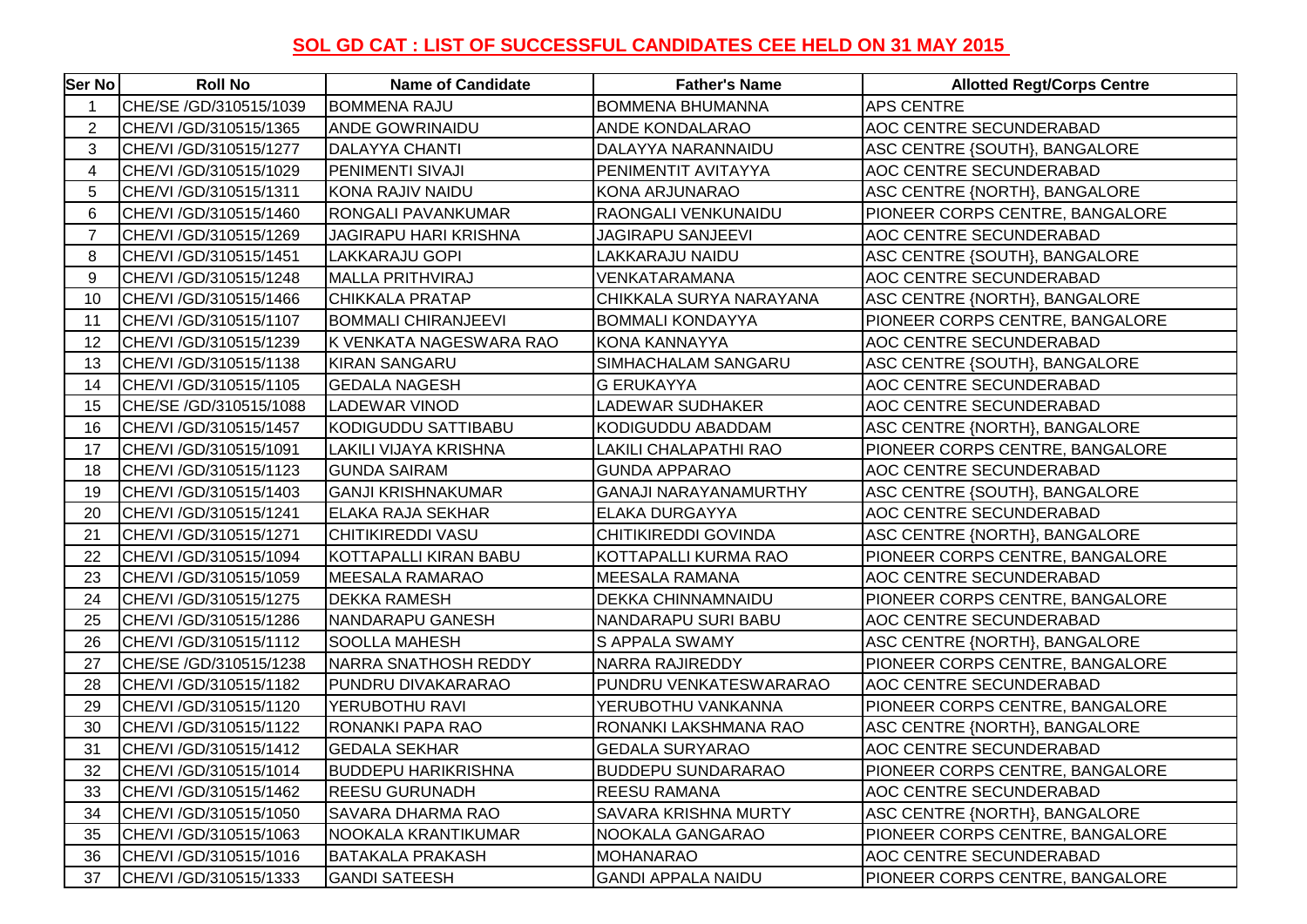## **SOL GD CAT : LIST OF SUCCESSFUL CANDIDATES CEE HELD ON 31 MAY 2015**

| Ser No         | <b>Roll No</b>          | <b>Name of Candidate</b>     | <b>Father's Name</b>         | <b>Allotted Regt/Corps Centre</b> |
|----------------|-------------------------|------------------------------|------------------------------|-----------------------------------|
|                | CHE/SE /GD/310515/1039  | <b>BOMMENA RAJU</b>          | <b>BOMMENA BHUMANNA</b>      | <b>APS CENTRE</b>                 |
| $\overline{2}$ | CHE/VI / GD/310515/1365 | <b>ANDE GOWRINAIDU</b>       | ANDE KONDALARAO              | AOC CENTRE SECUNDERABAD           |
| 3              | CHE/VI / GD/310515/1277 | <b>DALAYYA CHANTI</b>        | DALAYYA NARANNAIDU           | ASC CENTRE {SOUTH}, BANGALORE     |
| 4              | CHE/VI /GD/310515/1029  | PENIMENTI SIVAJI             | PENIMENTIT AVITAYYA          | AOC CENTRE SECUNDERABAD           |
| 5              | CHE/VI / GD/310515/1311 | KONA RAJIV NAIDU             | KONA ARJUNARAO               | ASC CENTRE {NORTH}, BANGALORE     |
| 6              | CHE/VI / GD/310515/1460 | RONGALI PAVANKUMAR           | RAONGALI VENKUNAIDU          | PIONEER CORPS CENTRE, BANGALORE   |
| $\overline{7}$ | CHE/VI /GD/310515/1269  | <b>JAGIRAPU HARI KRISHNA</b> | JAGIRAPU SANJEEVI            | AOC CENTRE SECUNDERABAD           |
| 8              | CHE/VI / GD/310515/1451 | LAKKARAJU GOPI               | LAKKARAJU NAIDU              | ASC CENTRE {SOUTH}, BANGALORE     |
| 9              | CHE/VI / GD/310515/1248 | <b>MALLA PRITHVIRAJ</b>      | VENKATARAMANA                | AOC CENTRE SECUNDERABAD           |
| 10             | CHE/VI / GD/310515/1466 | <b>CHIKKALA PRATAP</b>       | CHIKKALA SURYA NARAYANA      | ASC CENTRE {NORTH}, BANGALORE     |
| 11             | CHE/VI / GD/310515/1107 | <b>BOMMALI CHIRANJEEVI</b>   | <b>BOMMALI KONDAYYA</b>      | PIONEER CORPS CENTRE, BANGALORE   |
| 12             | CHE/VI / GD/310515/1239 | K VENKATA NAGESWARA RAO      | KONA KANNAYYA                | AOC CENTRE SECUNDERABAD           |
| 13             | CHE/VI / GD/310515/1138 | <b>KIRAN SANGARU</b>         | SIMHACHALAM SANGARU          | ASC CENTRE {SOUTH}, BANGALORE     |
| 14             | CHE/VI / GD/310515/1105 | <b>GEDALA NAGESH</b>         | <b>G ERUKAYYA</b>            | AOC CENTRE SECUNDERABAD           |
| 15             | CHE/SE /GD/310515/1088  | <b>LADEWAR VINOD</b>         | LADEWAR SUDHAKER             | AOC CENTRE SECUNDERABAD           |
| 16             | CHE/VI / GD/310515/1457 | KODIGUDDU SATTIBABU          | KODIGUDDU ABADDAM            | ASC CENTRE {NORTH}, BANGALORE     |
| 17             | CHE/VI /GD/310515/1091  | LAKILI VIJAYA KRISHNA        | LAKILI CHALAPATHI RAO        | PIONEER CORPS CENTRE, BANGALORE   |
| 18             | CHE/VI / GD/310515/1123 | <b>GUNDA SAIRAM</b>          | <b>GUNDA APPARAO</b>         | AOC CENTRE SECUNDERABAD           |
| 19             | CHE/VI / GD/310515/1403 | <b>GANJI KRISHNAKUMAR</b>    | <b>GANAJI NARAYANAMURTHY</b> | ASC CENTRE {SOUTH}, BANGALORE     |
| 20             | CHE/VI / GD/310515/1241 | <b>ELAKA RAJA SEKHAR</b>     | ELAKA DURGAYYA               | AOC CENTRE SECUNDERABAD           |
| 21             | CHE/VI / GD/310515/1271 | <b>CHITIKIREDDI VASU</b>     | CHITIKIREDDI GOVINDA         | ASC CENTRE {NORTH}, BANGALORE     |
| 22             | CHE/VI / GD/310515/1094 | KOTTAPALLI KIRAN BABU        | KOTTAPALLI KURMA RAO         | PIONEER CORPS CENTRE, BANGALORE   |
| 23             | CHE/VI / GD/310515/1059 | <b>MEESALA RAMARAO</b>       | MEESALA RAMANA               | AOC CENTRE SECUNDERABAD           |
| 24             | CHE/VI / GD/310515/1275 | <b>DEKKA RAMESH</b>          | DEKKA CHINNAMNAIDU           | PIONEER CORPS CENTRE, BANGALORE   |
| 25             | CHE/VI / GD/310515/1286 | <b>NANDARAPU GANESH</b>      | NANDARAPU SURI BABU          | AOC CENTRE SECUNDERABAD           |
| 26             | CHE/VI / GD/310515/1112 | <b>SOOLLA MAHESH</b>         | S APPALA SWAMY               | ASC CENTRE {NORTH}, BANGALORE     |
| 27             | CHE/SE /GD/310515/1238  | <b>NARRA SNATHOSH REDDY</b>  | NARRA RAJIREDDY              | PIONEER CORPS CENTRE, BANGALORE   |
| 28             | CHE/VI / GD/310515/1182 | PUNDRU DIVAKARARAO           | PUNDRU VENKATESWARARAO       | AOC CENTRE SECUNDERABAD           |
| 29             | CHE/VI / GD/310515/1120 | YERUBOTHU RAVI               | YERUBOTHU VANKANNA           | PIONEER CORPS CENTRE, BANGALORE   |
| 30             | CHE/VI/GD/310515/1122   | RONANKI PAPA RAO             | RONANKI LAKSHMANA RAO        | ASC CENTRE {NORTH}, BANGALORE     |
| 31             | CHE/VI / GD/310515/1412 | <b>GEDALA SEKHAR</b>         | <b>GEDALA SURYARAO</b>       | AOC CENTRE SECUNDERABAD           |
| 32             | CHE/VI / GD/310515/1014 | <b>BUDDEPU HARIKRISHNA</b>   | <b>BUDDEPU SUNDARARAO</b>    | PIONEER CORPS CENTRE, BANGALORE   |
| 33             | CHE/VI / GD/310515/1462 | <b>REESU GURUNADH</b>        | <b>REESU RAMANA</b>          | AOC CENTRE SECUNDERABAD           |
| 34             | CHE/VI / GD/310515/1050 | <b>SAVARA DHARMA RAO</b>     | SAVARA KRISHNA MURTY         | ASC CENTRE {NORTH}, BANGALORE     |
| 35             | CHE/VI / GD/310515/1063 | NOOKALA KRANTIKUMAR          | NOOKALA GANGARAO             | PIONEER CORPS CENTRE, BANGALORE   |
| 36             | CHE/VI / GD/310515/1016 | <b>BATAKALA PRAKASH</b>      | <b>MOHANARAO</b>             | AOC CENTRE SECUNDERABAD           |
| 37             | CHE/VI / GD/310515/1333 | <b>GANDI SATEESH</b>         | <b>GANDI APPALA NAIDU</b>    | PIONEER CORPS CENTRE, BANGALORE   |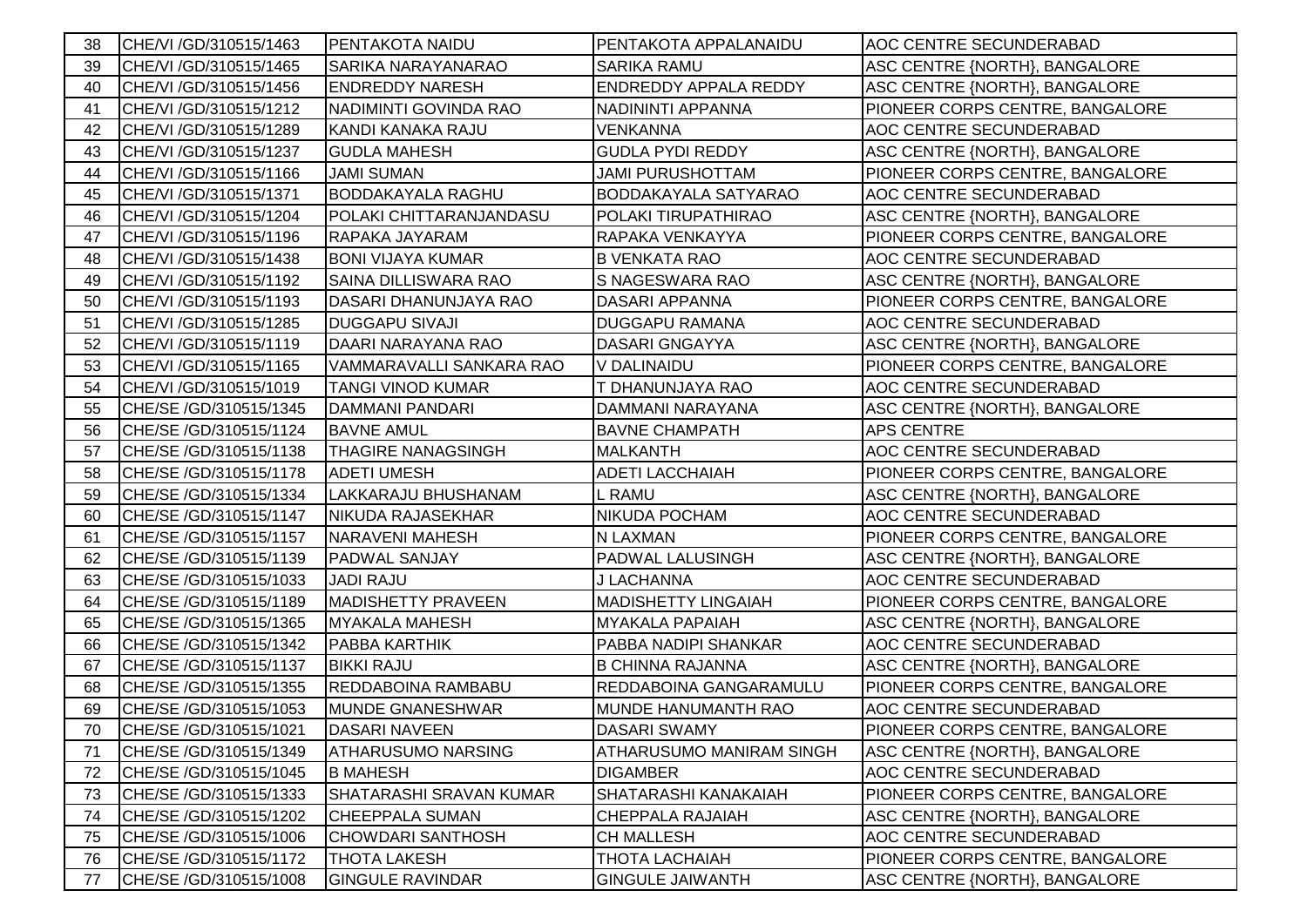| 38 | CHE/VI / GD/310515/1463 | <b>PENTAKOTA NAIDU</b>         | PENTAKOTA APPALANAIDU        | AOC CENTRE SECUNDERABAD         |
|----|-------------------------|--------------------------------|------------------------------|---------------------------------|
| 39 | CHE/VI / GD/310515/1465 | <b>SARIKA NARAYANARAO</b>      | <b>SARIKA RAMU</b>           | ASC CENTRE {NORTH}, BANGALORE   |
| 40 | CHE/VI / GD/310515/1456 | <b>ENDREDDY NARESH</b>         | <b>ENDREDDY APPALA REDDY</b> | ASC CENTRE {NORTH}, BANGALORE   |
| 41 | CHE/VI / GD/310515/1212 | NADIMINTI GOVINDA RAO          | NADININTI APPANNA            | PIONEER CORPS CENTRE, BANGALORE |
| 42 | CHE/VI / GD/310515/1289 | KANDI KANAKA RAJU              | <b>VENKANNA</b>              | AOC CENTRE SECUNDERABAD         |
| 43 | CHE/VI / GD/310515/1237 | <b>GUDLA MAHESH</b>            | <b>GUDLA PYDI REDDY</b>      | ASC CENTRE {NORTH}, BANGALORE   |
| 44 | CHE/VI / GD/310515/1166 | <b>JAMI SUMAN</b>              | JAMI PURUSHOTTAM             | PIONEER CORPS CENTRE, BANGALORE |
| 45 | CHE/VI / GD/310515/1371 | <b>BODDAKAYALA RAGHU</b>       | <b>BODDAKAYALA SATYARAO</b>  | AOC CENTRE SECUNDERABAD         |
| 46 | CHE/VI / GD/310515/1204 | POLAKI CHITTARANJANDASU        | POLAKI TIRUPATHIRAO          | ASC CENTRE {NORTH}, BANGALORE   |
| 47 | CHE/VI / GD/310515/1196 | RAPAKA JAYARAM                 | RAPAKA VENKAYYA              | PIONEER CORPS CENTRE, BANGALORE |
| 48 | CHE/VI / GD/310515/1438 | <b>BONI VIJAYA KUMAR</b>       | <b>B VENKATA RAO</b>         | AOC CENTRE SECUNDERABAD         |
| 49 | CHE/VI / GD/310515/1192 | <b>SAINA DILLISWARA RAO</b>    | S NAGESWARA RAO              | ASC CENTRE {NORTH}, BANGALORE   |
| 50 | CHE/VI / GD/310515/1193 | DASARI DHANUNJAYA RAO          | <b>DASARI APPANNA</b>        | PIONEER CORPS CENTRE, BANGALORE |
| 51 | CHE/VI / GD/310515/1285 | <b>DUGGAPU SIVAJI</b>          | <b>DUGGAPU RAMANA</b>        | AOC CENTRE SECUNDERABAD         |
| 52 | CHE/VI / GD/310515/1119 | DAARI NARAYANA RAO             | <b>DASARI GNGAYYA</b>        | ASC CENTRE {NORTH}, BANGALORE   |
| 53 | CHE/VI / GD/310515/1165 | VAMMARAVALLI SANKARA RAO       | V DALINAIDU                  | PIONEER CORPS CENTRE, BANGALORE |
| 54 | CHE/VI / GD/310515/1019 | <b>TANGI VINOD KUMAR</b>       | T DHANUNJAYA RAO             | AOC CENTRE SECUNDERABAD         |
| 55 | CHE/SE /GD/310515/1345  | <b>DAMMANI PANDARI</b>         | DAMMANI NARAYANA             | ASC CENTRE {NORTH}, BANGALORE   |
| 56 | CHE/SE /GD/310515/1124  | <b>BAVNE AMUL</b>              | <b>BAVNE CHAMPATH</b>        | APS CENTRE                      |
| 57 | CHE/SE /GD/310515/1138  | <b>THAGIRE NANAGSINGH</b>      | <b>MALKANTH</b>              | AOC CENTRE SECUNDERABAD         |
| 58 | CHE/SE /GD/310515/1178  | <b>ADETI UMESH</b>             | <b>ADETI LACCHAIAH</b>       | PIONEER CORPS CENTRE, BANGALORE |
| 59 | CHE/SE /GD/310515/1334  | LAKKARAJU BHUSHANAM            | L RAMU                       | ASC CENTRE {NORTH}, BANGALORE   |
| 60 | CHE/SE /GD/310515/1147  | <b>NIKUDA RAJASEKHAR</b>       | <b>NIKUDA POCHAM</b>         | AOC CENTRE SECUNDERABAD         |
| 61 | CHE/SE /GD/310515/1157  | <b>NARAVENI MAHESH</b>         | N LAXMAN                     | PIONEER CORPS CENTRE, BANGALORE |
| 62 | CHE/SE /GD/310515/1139  | <b>PADWAL SANJAY</b>           | PADWAL LALUSINGH             | ASC CENTRE {NORTH}, BANGALORE   |
| 63 | CHE/SE /GD/310515/1033  | <b>JADI RAJU</b>               | J LACHANNA                   | AOC CENTRE SECUNDERABAD         |
| 64 | CHE/SE /GD/310515/1189  | <b>MADISHETTY PRAVEEN</b>      | <b>MADISHETTY LINGAIAH</b>   | PIONEER CORPS CENTRE, BANGALORE |
| 65 | CHE/SE /GD/310515/1365  | <b>MYAKALA MAHESH</b>          | <b>MYAKALA PAPAIAH</b>       | ASC CENTRE {NORTH}, BANGALORE   |
| 66 | CHE/SE /GD/310515/1342  | <b>PABBA KARTHIK</b>           | PABBA NADIPI SHANKAR         | AOC CENTRE SECUNDERABAD         |
| 67 | CHE/SE /GD/310515/1137  | <b>BIKKI RAJU</b>              | <b>B CHINNA RAJANNA</b>      | ASC CENTRE {NORTH}, BANGALORE   |
| 68 | CHE/SE /GD/310515/1355  | REDDABOINA RAMBABU             | REDDABOINA GANGARAMULU       | PIONEER CORPS CENTRE, BANGALORE |
| 69 | CHE/SE /GD/310515/1053  | <b>MUNDE GNANESHWAR</b>        | <b>MUNDE HANUMANTH RAO</b>   | AOC CENTRE SECUNDERABAD         |
| 70 | CHE/SE /GD/310515/1021  | DASARI NAVEEN                  | <b>DASARI SWAMY</b>          | PIONEER CORPS CENTRE, BANGALORE |
| 71 | CHE/SE /GD/310515/1349  | <b>ATHARUSUMO NARSING</b>      | ATHARUSUMO MANIRAM SINGH     | ASC CENTRE {NORTH}, BANGALORE   |
| 72 | CHE/SE /GD/310515/1045  | <b>B MAHESH</b>                | <b>DIGAMBER</b>              | AOC CENTRE SECUNDERABAD         |
| 73 | CHE/SE /GD/310515/1333  | <b>SHATARASHI SRAVAN KUMAR</b> | <b>SHATARASHI KANAKAIAH</b>  | PIONEER CORPS CENTRE, BANGALORE |
| 74 | CHE/SE /GD/310515/1202  | <b>CHEEPPALA SUMAN</b>         | <b>CHEPPALA RAJAIAH</b>      | ASC CENTRE {NORTH}, BANGALORE   |
| 75 | CHE/SE /GD/310515/1006  | <b>CHOWDARI SANTHOSH</b>       | <b>CH MALLESH</b>            | AOC CENTRE SECUNDERABAD         |
| 76 | CHE/SE /GD/310515/1172  | <b>THOTA LAKESH</b>            | <b>THOTA LACHAIAH</b>        | PIONEER CORPS CENTRE, BANGALORE |
| 77 | CHE/SE /GD/310515/1008  | <b>GINGULE RAVINDAR</b>        | <b>GINGULE JAIWANTH</b>      | ASC CENTRE {NORTH}, BANGALORE   |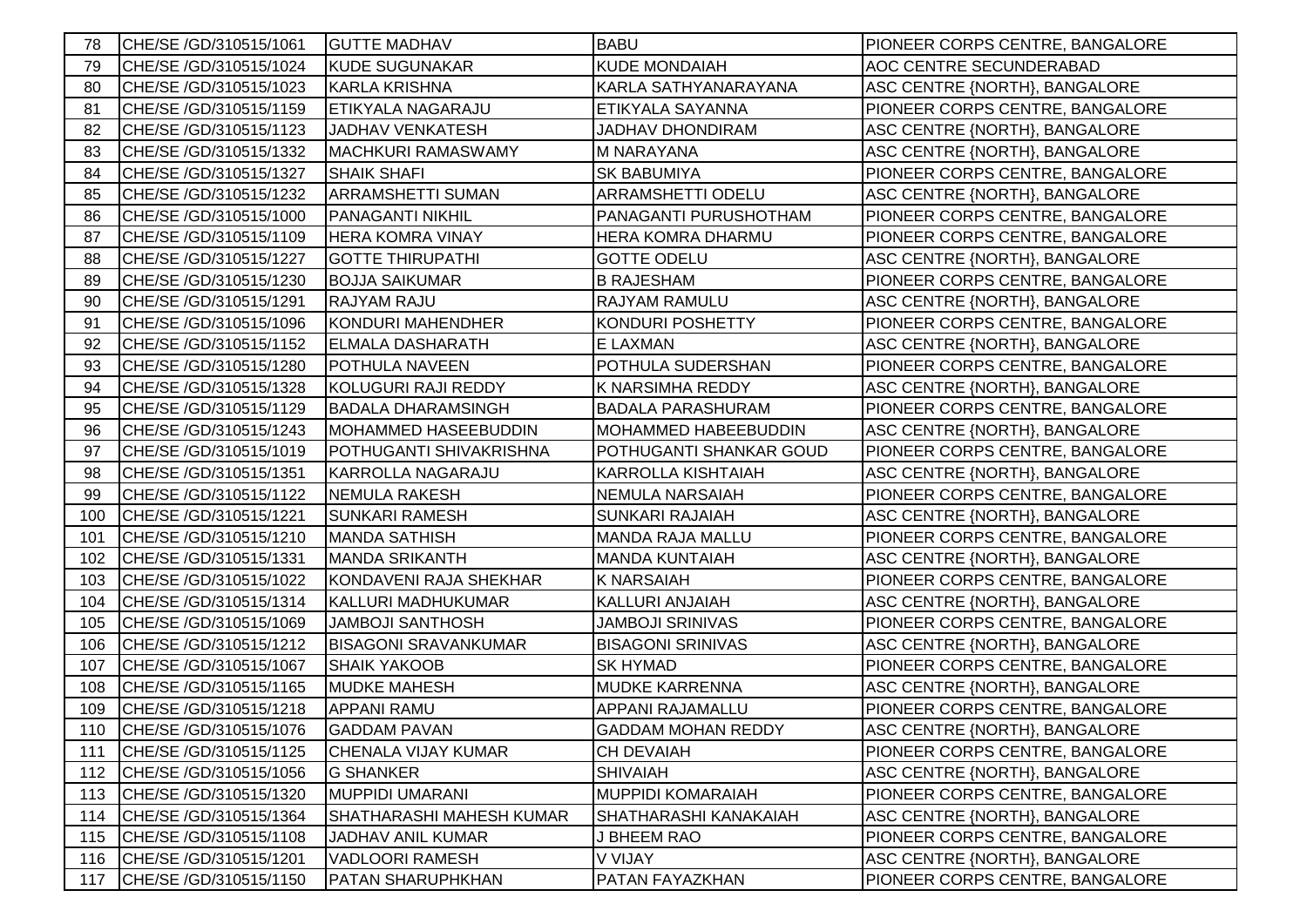| 78  | CHE/SE /GD/310515/1061 | <b>GUTTE MADHAV</b>         | <b>BABU</b>                 | PIONEER CORPS CENTRE, BANGALORE |
|-----|------------------------|-----------------------------|-----------------------------|---------------------------------|
| 79  | CHE/SE /GD/310515/1024 | <b>KUDE SUGUNAKAR</b>       | <b>KUDE MONDAIAH</b>        | AOC CENTRE SECUNDERABAD         |
| 80  | CHE/SE /GD/310515/1023 | KARLA KRISHNA               | KARLA SATHYANARAYANA        | ASC CENTRE {NORTH}, BANGALORE   |
| 81  | CHE/SE /GD/310515/1159 | <b>ETIKYALA NAGARAJU</b>    | ETIKYALA SAYANNA            | PIONEER CORPS CENTRE, BANGALORE |
| 82  | CHE/SE /GD/310515/1123 | <b>JADHAV VENKATESH</b>     | JADHAV DHONDIRAM            | ASC CENTRE {NORTH}, BANGALORE   |
| 83  | CHE/SE /GD/310515/1332 | <b>MACHKURI RAMASWAMY</b>   | <b>M NARAYANA</b>           | ASC CENTRE {NORTH}, BANGALORE   |
| 84  | CHE/SE /GD/310515/1327 | <b>SHAIK SHAFI</b>          | <b>SK BABUMIYA</b>          | PIONEER CORPS CENTRE, BANGALORE |
| 85  | CHE/SE /GD/310515/1232 | <b>ARRAMSHETTI SUMAN</b>    | ARRAMSHETTI ODELU           | ASC CENTRE {NORTH}, BANGALORE   |
| 86  | CHE/SE /GD/310515/1000 | <b>PANAGANTI NIKHIL</b>     | PANAGANTI PURUSHOTHAM       | PIONEER CORPS CENTRE, BANGALORE |
| 87  | CHE/SE /GD/310515/1109 | <b>HERA KOMRA VINAY</b>     | HERA KOMRA DHARMU           | PIONEER CORPS CENTRE, BANGALORE |
| 88  | CHE/SE /GD/310515/1227 | <b>GOTTE THIRUPATHI</b>     | <b>GOTTE ODELU</b>          | ASC CENTRE {NORTH}, BANGALORE   |
| 89  | CHE/SE /GD/310515/1230 | <b>BOJJA SAIKUMAR</b>       | <b>B RAJESHAM</b>           | PIONEER CORPS CENTRE, BANGALORE |
| 90  | CHE/SE /GD/310515/1291 | <b>RAJYAM RAJU</b>          | RAJYAM RAMULU               | ASC CENTRE {NORTH}, BANGALORE   |
| 91  | CHE/SE /GD/310515/1096 | <b>KONDURI MAHENDHER</b>    | <b>KONDURI POSHETTY</b>     | PIONEER CORPS CENTRE, BANGALORE |
| 92  | CHE/SE /GD/310515/1152 | <b>ELMALA DASHARATH</b>     | E LAXMAN                    | ASC CENTRE {NORTH}, BANGALORE   |
| 93  | CHE/SE /GD/310515/1280 | <b>POTHULA NAVEEN</b>       | POTHULA SUDERSHAN           | PIONEER CORPS CENTRE, BANGALORE |
| 94  | CHE/SE /GD/310515/1328 | KOLUGURI RAJI REDDY         | K NARSIMHA REDDY            | ASC CENTRE {NORTH}, BANGALORE   |
| 95  | CHE/SE /GD/310515/1129 | <b>BADALA DHARAMSINGH</b>   | <b>BADALA PARASHURAM</b>    | PIONEER CORPS CENTRE, BANGALORE |
| 96  | CHE/SE /GD/310515/1243 | <b>MOHAMMED HASEEBUDDIN</b> | <b>MOHAMMED HABEEBUDDIN</b> | ASC CENTRE {NORTH}, BANGALORE   |
| 97  | CHE/SE /GD/310515/1019 | POTHUGANTI SHIVAKRISHNA     | POTHUGANTI SHANKAR GOUD     | PIONEER CORPS CENTRE, BANGALORE |
| 98  | CHE/SE /GD/310515/1351 | <b>KARROLLA NAGARAJU</b>    | <b>KARROLLA KISHTAIAH</b>   | ASC CENTRE {NORTH}, BANGALORE   |
| 99  | CHE/SE /GD/310515/1122 | <b>NEMULA RAKESH</b>        | <b>NEMULA NARSAIAH</b>      | PIONEER CORPS CENTRE, BANGALORE |
| 100 | CHE/SE /GD/310515/1221 | <b>SUNKARI RAMESH</b>       | <b>SUNKARI RAJAIAH</b>      | ASC CENTRE {NORTH}, BANGALORE   |
| 101 | CHE/SE /GD/310515/1210 | <b>MANDA SATHISH</b>        | <b>MANDA RAJA MALLU</b>     | PIONEER CORPS CENTRE, BANGALORE |
| 102 | CHE/SE /GD/310515/1331 | <b>MANDA SRIKANTH</b>       | <b>MANDA KUNTAIAH</b>       | ASC CENTRE {NORTH}, BANGALORE   |
| 103 | CHE/SE /GD/310515/1022 | KONDAVENI RAJA SHEKHAR      | <b>K NARSAIAH</b>           | PIONEER CORPS CENTRE, BANGALORE |
| 104 | CHE/SE /GD/310515/1314 | KALLURI MADHUKUMAR          | KALLURI ANJAIAH             | ASC CENTRE {NORTH}, BANGALORE   |
| 105 | CHE/SE /GD/310515/1069 | <b>JAMBOJI SANTHOSH</b>     | <b>JAMBOJI SRINIVAS</b>     | PIONEER CORPS CENTRE, BANGALORE |
| 106 | CHE/SE /GD/310515/1212 | <b>BISAGONI SRAVANKUMAR</b> | <b>BISAGONI SRINIVAS</b>    | ASC CENTRE {NORTH}, BANGALORE   |
| 107 | CHE/SE /GD/310515/1067 | <b>SHAIK YAKOOB</b>         | <b>SK HYMAD</b>             | PIONEER CORPS CENTRE, BANGALORE |
| 108 | CHE/SE /GD/310515/1165 | <b>MUDKE MAHESH</b>         | <b>MUDKE KARRENNA</b>       | ASC CENTRE {NORTH}, BANGALORE   |
| 109 | CHE/SE /GD/310515/1218 | <b>APPANI RAMU</b>          | APPANI RAJAMALLU            | PIONEER CORPS CENTRE, BANGALORE |
| 110 | CHE/SE /GD/310515/1076 | <b>GADDAM PAVAN</b>         | <b>GADDAM MOHAN REDDY</b>   | ASC CENTRE {NORTH}, BANGALORE   |
| 111 | CHE/SE /GD/310515/1125 | CHENALA VIJAY KUMAR         | <b>CH DEVAIAH</b>           | PIONEER CORPS CENTRE, BANGALORE |
| 112 | CHE/SE /GD/310515/1056 | <b>G SHANKER</b>            | <b>SHIVAIAH</b>             | ASC CENTRE {NORTH}, BANGALORE   |
| 113 | CHE/SE /GD/310515/1320 | <b>MUPPIDI UMARANI</b>      | <b>MUPPIDI KOMARAIAH</b>    | PIONEER CORPS CENTRE, BANGALORE |
| 114 | CHE/SE /GD/310515/1364 | SHATHARASHI MAHESH KUMAR    | SHATHARASHI KANAKAIAH       | ASC CENTRE {NORTH}, BANGALORE   |
| 115 | CHE/SE /GD/310515/1108 | JADHAV ANIL KUMAR           | J BHEEM RAO                 | PIONEER CORPS CENTRE, BANGALORE |
| 116 | CHE/SE /GD/310515/1201 | <b>VADLOORI RAMESH</b>      | V VIJAY                     | ASC CENTRE {NORTH}, BANGALORE   |
| 117 | CHE/SE /GD/310515/1150 | <b>PATAN SHARUPHKHAN</b>    | PATAN FAYAZKHAN             | PIONEER CORPS CENTRE, BANGALORE |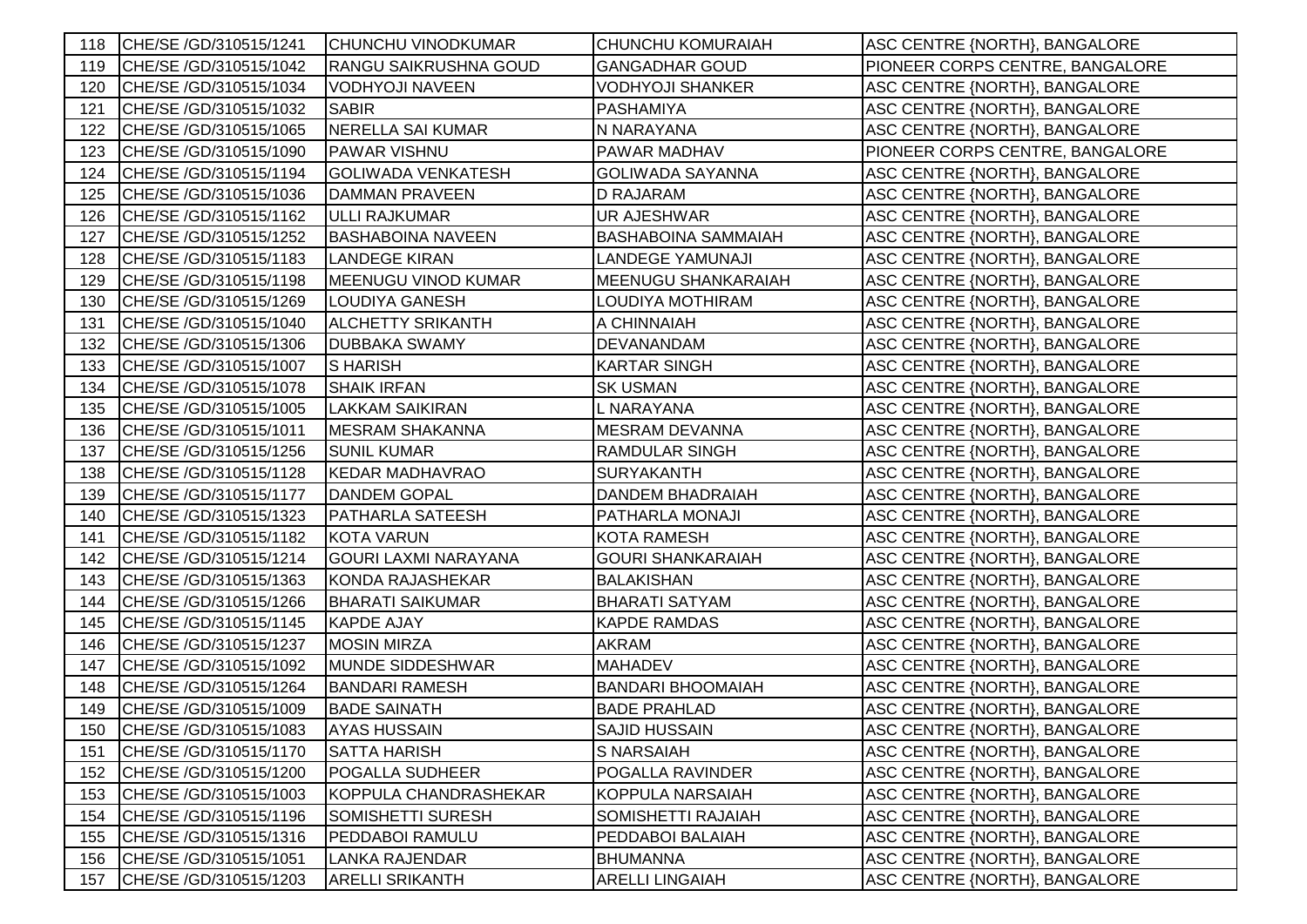| 118. | CHE/SE /GD/310515/1241  | <b>CHUNCHU VINODKUMAR</b>    | <b>CHUNCHU KOMURAIAH</b>   | ASC CENTRE {NORTH}, BANGALORE        |
|------|-------------------------|------------------------------|----------------------------|--------------------------------------|
| 119  | CHE/SE /GD/310515/1042  | RANGU SAIKRUSHNA GOUD        | <b>GANGADHAR GOUD</b>      | PIONEER CORPS CENTRE, BANGALORE      |
| 120  | CHE/SE /GD/310515/1034  | <b>VODHYOJI NAVEEN</b>       | <b>VODHYOJI SHANKER</b>    | ASC CENTRE {NORTH}, BANGALORE        |
| 121  | CHE/SE /GD/310515/1032  | <b>SABIR</b>                 | <b>PASHAMIYA</b>           | ASC CENTRE {NORTH}, BANGALORE        |
| 122  | CHE/SE /GD/310515/1065  | NERELLA SAI KUMAR            | N NARAYANA                 | ASC CENTRE {NORTH}, BANGALORE        |
| 123  | CHE/SE /GD/310515/1090  | PAWAR VISHNU                 | PAWAR MADHAV               | PIONEER CORPS CENTRE, BANGALORE      |
| 124  | CHE/SE /GD/310515/1194  | <b>GOLIWADA VENKATESH</b>    | <b>GOLIWADA SAYANNA</b>    | ASC CENTRE {NORTH}, BANGALORE        |
| 125  | CHE/SE /GD/310515/1036  | <b>DAMMAN PRAVEEN</b>        | <b>D RAJARAM</b>           | ASC CENTRE {NORTH}, BANGALORE        |
| 126  | CHE/SE /GD/310515/1162  | <b>ULLI RAJKUMAR</b>         | UR AJESHWAR                | ASC CENTRE {NORTH}, BANGALORE        |
| 127  | CHE/SE /GD/310515/1252  | <b>BASHABOINA NAVEEN</b>     | <b>BASHABOINA SAMMAIAH</b> | ASC CENTRE {NORTH}, BANGALORE        |
| 128  | CHE/SE / GD/310515/1183 | <b>LANDEGE KIRAN</b>         | LANDEGE YAMUNAJI           | ASC CENTRE {NORTH}, BANGALORE        |
| 129  | CHE/SE /GD/310515/1198  | <b>MEENUGU VINOD KUMAR</b>   | MEENUGU SHANKARAIAH        | ASC CENTRE {NORTH}, BANGALORE        |
| 130  | CHE/SE /GD/310515/1269  | <b>LOUDIYA GANESH</b>        | LOUDIYA MOTHIRAM           | ASC CENTRE {NORTH}, BANGALORE        |
| 131  | CHE/SE /GD/310515/1040  | <b>ALCHETTY SRIKANTH</b>     | A CHINNAIAH                | ASC CENTRE {NORTH}, BANGALORE        |
| 132  | CHE/SE /GD/310515/1306  | <b>DUBBAKA SWAMY</b>         | DEVANANDAM                 | ASC CENTRE {NORTH}, BANGALORE        |
| 133  | CHE/SE /GD/310515/1007  | <b>SHARISH</b>               | <b>KARTAR SINGH</b>        | ASC CENTRE {NORTH}, BANGALORE        |
| 134  | CHE/SE /GD/310515/1078  | <b>SHAIK IRFAN</b>           | <b>SK USMAN</b>            | ASC CENTRE {NORTH}, BANGALORE        |
| 135  | CHE/SE /GD/310515/1005  | <b>LAKKAM SAIKIRAN</b>       | L NARAYANA                 | ASC CENTRE {NORTH}, BANGALORE        |
| 136  | CHE/SE /GD/310515/1011  | <b>MESRAM SHAKANNA</b>       | <b>MESRAM DEVANNA</b>      | ASC CENTRE {NORTH}, BANGALORE        |
| 137  | CHE/SE /GD/310515/1256  | <b>SUNIL KUMAR</b>           | <b>RAMDULAR SINGH</b>      | ASC CENTRE {NORTH}, BANGALORE        |
| 138  | CHE/SE /GD/310515/1128  | <b>KEDAR MADHAVRAO</b>       | <b>SURYAKANTH</b>          | ASC CENTRE {NORTH}, BANGALORE        |
| 139  | CHE/SE / GD/310515/1177 | <b>DANDEM GOPAL</b>          | DANDEM BHADRAIAH           | ASC CENTRE {NORTH}, BANGALORE        |
| 140  | CHE/SE /GD/310515/1323  | <b>PATHARLA SATEESH</b>      | <b>PATHARLA MONAJI</b>     | ASC CENTRE {NORTH}, BANGALORE        |
| 141  | CHE/SE /GD/310515/1182  | <b>KOTA VARUN</b>            | <b>KOTA RAMESH</b>         | ASC CENTRE {NORTH}, BANGALORE        |
| 142  | CHE/SE /GD/310515/1214  | <b>GOURI LAXMI NARAYANA</b>  | <b>GOURI SHANKARAIAH</b>   | ASC CENTRE {NORTH}, BANGALORE        |
| 143  | CHE/SE /GD/310515/1363  | <b>KONDA RAJASHEKAR</b>      | <b>BALAKISHAN</b>          | ASC CENTRE {NORTH}, BANGALORE        |
| 144  | CHE/SE /GD/310515/1266  | <b>BHARATI SAIKUMAR</b>      | <b>BHARATI SATYAM</b>      | ASC CENTRE {NORTH}, BANGALORE        |
| 145  | CHE/SE /GD/310515/1145  | <b>KAPDE AJAY</b>            | <b>KAPDE RAMDAS</b>        | ASC CENTRE {NORTH}, BANGALORE        |
| 146  | CHE/SE /GD/310515/1237  | <b>MOSIN MIRZA</b>           | <b>AKRAM</b>               | ASC CENTRE {NORTH}, BANGALORE        |
| 147  | CHE/SE /GD/310515/1092  | <b>MUNDE SIDDESHWAR</b>      | <b>MAHADEV</b>             | ASC CENTRE {NORTH}, BANGALORE        |
| 148  | CHE/SE /GD/310515/1264  | <b>BANDARI RAMESH</b>        | <b>BANDARI BHOOMAIAH</b>   | ASC CENTRE {NORTH}, BANGALORE        |
| 149  | CHE/SE /GD/310515/1009  | <b>BADE SAINATH</b>          | <b>BADE PRAHLAD</b>        | ASC CENTRE {NORTH}, BANGALORE        |
| 150  | CHE/SE /GD/310515/1083  | <b>AYAS HUSSAIN</b>          | <b>SAJID HUSSAIN</b>       | ASC CENTRE {NORTH}, BANGALORE        |
| 151  | CHE/SE /GD/310515/1170  | <b>SATTA HARISH</b>          | S NARSAIAH                 | ASC CENTRE {NORTH}, BANGALORE        |
| 152  | CHE/SE /GD/310515/1200  | POGALLA SUDHEER              | POGALLA RAVINDER           | ASC CENTRE {NORTH}, BANGALORE        |
| 153  | CHE/SE /GD/310515/1003  | <b>KOPPULA CHANDRASHEKAR</b> | <b>KOPPULA NARSAIAH</b>    | <b>ASC CENTRE {NORTH}, BANGALORE</b> |
| 154  | CHE/SE /GD/310515/1196  | SOMISHETTI SURESH            | SOMISHETTI RAJAIAH         | ASC CENTRE {NORTH}, BANGALORE        |
| 155  | CHE/SE /GD/310515/1316  | PEDDABOI RAMULU              | PEDDABOI BALAIAH           | ASC CENTRE {NORTH}, BANGALORE        |
| 156  | CHE/SE /GD/310515/1051  | <b>LANKA RAJENDAR</b>        | <b>BHUMANNA</b>            | <b>ASC CENTRE {NORTH}, BANGALORE</b> |
| 157  | CHE/SE /GD/310515/1203  | <b>ARELLI SRIKANTH</b>       | <b>ARELLI LINGAIAH</b>     | ASC CENTRE {NORTH}, BANGALORE        |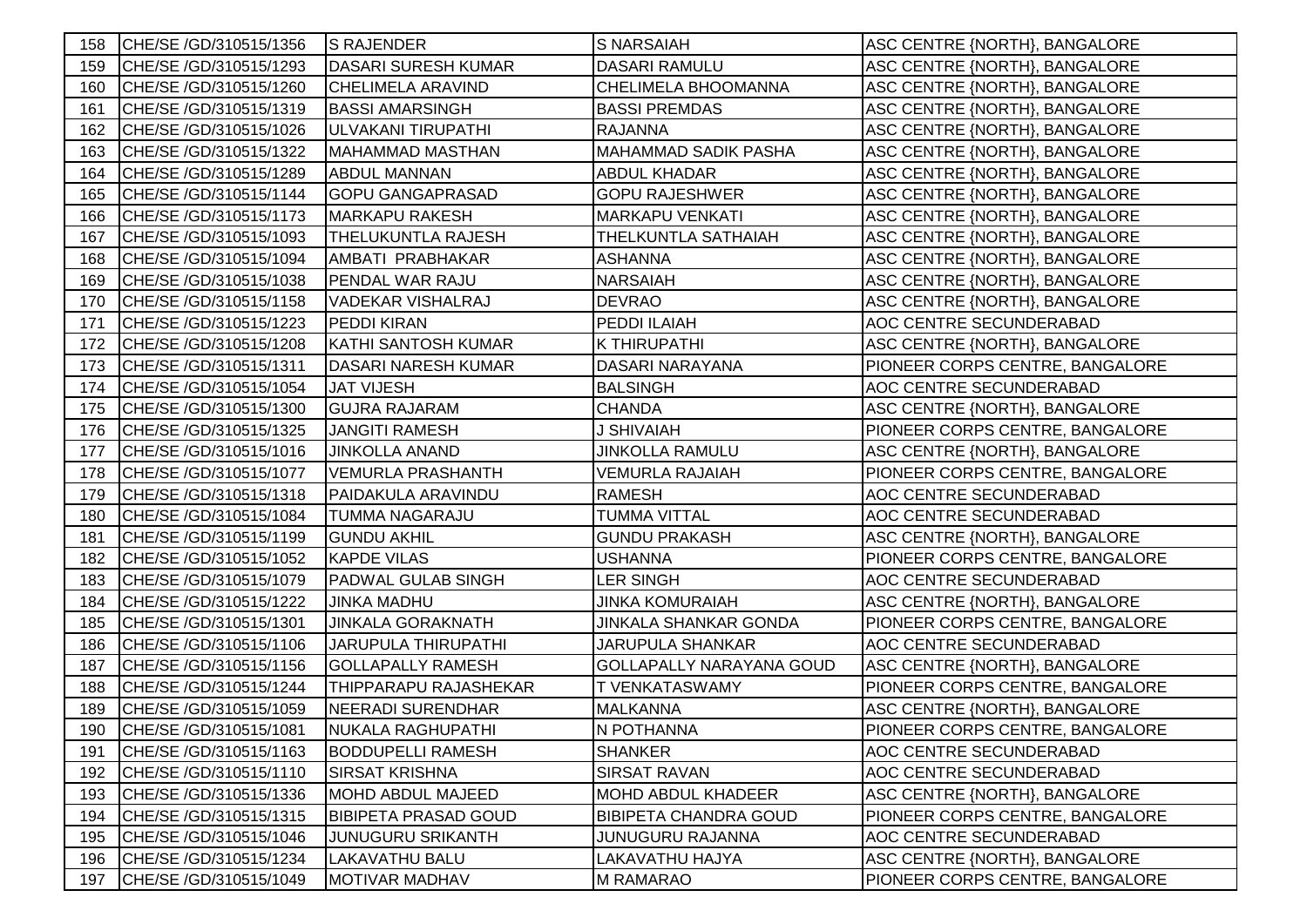| 158 | CHE/SE /GD/310515/1356  | <b>S RAJENDER</b>           | <b>S NARSAIAH</b>               | ASC CENTRE {NORTH}, BANGALORE   |
|-----|-------------------------|-----------------------------|---------------------------------|---------------------------------|
| 159 | CHE/SE /GD/310515/1293  | <b>DASARI SURESH KUMAR</b>  | <b>DASARI RAMULU</b>            | ASC CENTRE {NORTH}, BANGALORE   |
| 160 | CHE/SE /GD/310515/1260  | <b>CHELIMELA ARAVIND</b>    | <b>CHELIMELA BHOOMANNA</b>      | ASC CENTRE {NORTH}, BANGALORE   |
| 161 | CHE/SE /GD/310515/1319  | <b>BASSI AMARSINGH</b>      | <b>BASSI PREMDAS</b>            | ASC CENTRE {NORTH}, BANGALORE   |
| 162 | CHE/SE /GD/310515/1026  | ULVAKANI TIRUPATHI          | <b>RAJANNA</b>                  | ASC CENTRE {NORTH}, BANGALORE   |
| 163 | CHE/SE /GD/310515/1322  | <b>MAHAMMAD MASTHAN</b>     | <b>MAHAMMAD SADIK PASHA</b>     | ASC CENTRE {NORTH}, BANGALORE   |
| 164 | CHE/SE /GD/310515/1289  | <b>ABDUL MANNAN</b>         | <b>ABDUL KHADAR</b>             | ASC CENTRE {NORTH}, BANGALORE   |
| 165 | CHE/SE /GD/310515/1144  | <b>GOPU GANGAPRASAD</b>     | <b>GOPU RAJESHWER</b>           | ASC CENTRE {NORTH}, BANGALORE   |
| 166 | CHE/SE / GD/310515/1173 | <b>MARKAPU RAKESH</b>       | <b>MARKAPU VENKATI</b>          | ASC CENTRE {NORTH}, BANGALORE   |
| 167 | CHE/SE /GD/310515/1093  | THELUKUNTLA RAJESH          | THELKUNTLA SATHAIAH             | ASC CENTRE {NORTH}, BANGALORE   |
| 168 | CHE/SE /GD/310515/1094  | AMBATI PRABHAKAR            | <b>ASHANNA</b>                  | ASC CENTRE {NORTH}, BANGALORE   |
| 169 | CHE/SE /GD/310515/1038  | PENDAL WAR RAJU             | <b>NARSAIAH</b>                 | ASC CENTRE {NORTH}, BANGALORE   |
| 170 | CHE/SE /GD/310515/1158  | <b>VADEKAR VISHALRAJ</b>    | <b>DEVRAO</b>                   | ASC CENTRE {NORTH}, BANGALORE   |
| 171 | CHE/SE /GD/310515/1223  | <b>PEDDI KIRAN</b>          | PEDDI ILAIAH                    | AOC CENTRE SECUNDERABAD         |
| 172 | CHE/SE /GD/310515/1208  | <b>KATHI SANTOSH KUMAR</b>  | <b>K THIRUPATHI</b>             | ASC CENTRE {NORTH}, BANGALORE   |
| 173 | CHE/SE /GD/310515/1311  | <b>DASARI NARESH KUMAR</b>  | DASARI NARAYANA                 | PIONEER CORPS CENTRE, BANGALORE |
| 174 | CHE/SE /GD/310515/1054  | <b>JAT VIJESH</b>           | <b>BALSINGH</b>                 | AOC CENTRE SECUNDERABAD         |
| 175 | CHE/SE /GD/310515/1300  | <b>GUJRA RAJARAM</b>        | <b>CHANDA</b>                   | ASC CENTRE {NORTH}, BANGALORE   |
| 176 | CHE/SE /GD/310515/1325  | <b>JANGITI RAMESH</b>       | <b>J SHIVAIAH</b>               | PIONEER CORPS CENTRE, BANGALORE |
| 177 | CHE/SE /GD/310515/1016  | <b>JINKOLLA ANAND</b>       | <b>JINKOLLA RAMULU</b>          | ASC CENTRE {NORTH}, BANGALORE   |
| 178 | CHE/SE /GD/310515/1077  | <b>VEMURLA PRASHANTH</b>    | <b>VEMURLA RAJAIAH</b>          | PIONEER CORPS CENTRE, BANGALORE |
| 179 | CHE/SE /GD/310515/1318  | PAIDAKULA ARAVINDU          | <b>RAMESH</b>                   | AOC CENTRE SECUNDERABAD         |
| 180 | CHE/SE /GD/310515/1084  | TUMMA NAGARAJU              | <b>TUMMA VITTAL</b>             | <b>AOC CENTRE SECUNDERABAD</b>  |
| 181 | CHE/SE /GD/310515/1199  | <b>GUNDU AKHIL</b>          | <b>GUNDU PRAKASH</b>            | ASC CENTRE {NORTH}, BANGALORE   |
| 182 | CHE/SE /GD/310515/1052  | <b>KAPDE VILAS</b>          | <b>USHANNA</b>                  | PIONEER CORPS CENTRE, BANGALORE |
| 183 | CHE/SE /GD/310515/1079  | <b>PADWAL GULAB SINGH</b>   | <b>LER SINGH</b>                | <b>AOC CENTRE SECUNDERABAD</b>  |
| 184 | CHE/SE /GD/310515/1222  | <b>JINKA MADHU</b>          | JINKA KOMURAIAH                 | ASC CENTRE {NORTH}, BANGALORE   |
| 185 | CHE/SE /GD/310515/1301  | <b>JINKALA GORAKNATH</b>    | JINKALA SHANKAR GONDA           | PIONEER CORPS CENTRE, BANGALORE |
| 186 | CHE/SE /GD/310515/1106  | <b>JARUPULA THIRUPATHI</b>  | <b>JARUPULA SHANKAR</b>         | <b>AOC CENTRE SECUNDERABAD</b>  |
| 187 | CHE/SE /GD/310515/1156  | <b>GOLLAPALLY RAMESH</b>    | <b>GOLLAPALLY NARAYANA GOUD</b> | ASC CENTRE {NORTH}, BANGALORE   |
| 188 | CHE/SE /GD/310515/1244  | THIPPARAPU RAJASHEKAR       | T VENKATASWAMY                  | PIONEER CORPS CENTRE, BANGALORE |
| 189 | CHE/SE /GD/310515/1059  | <b>NEERADI SURENDHAR</b>    | <b>MALKANNA</b>                 | ASC CENTRE {NORTH}, BANGALORE   |
| 190 | CHE/SE /GD/310515/1081  | NUKALA RAGHUPATHI           | N POTHANNA                      | PIONEER CORPS CENTRE, BANGALORE |
| 191 | CHE/SE /GD/310515/1163  | <b>BODDUPELLI RAMESH</b>    | <b>SHANKER</b>                  | AOC CENTRE SECUNDERABAD         |
| 192 | CHE/SE /GD/310515/1110  | <b>SIRSAT KRISHNA</b>       | <b>SIRSAT RAVAN</b>             | <b>AOC CENTRE SECUNDERABAD</b>  |
| 193 | CHE/SE /GD/310515/1336  | <b>MOHD ABDUL MAJEED</b>    | <b>MOHD ABDUL KHADEER</b>       | ASC CENTRE {NORTH}, BANGALORE   |
| 194 | CHE/SE /GD/310515/1315  | <b>BIBIPETA PRASAD GOUD</b> | <b>BIBIPETA CHANDRA GOUD</b>    | PIONEER CORPS CENTRE, BANGALORE |
| 195 | CHE/SE /GD/310515/1046  | <b>JUNUGURU SRIKANTH</b>    | <b>JUNUGURU RAJANNA</b>         | <b>AOC CENTRE SECUNDERABAD</b>  |
| 196 | CHE/SE /GD/310515/1234  | LAKAVATHU BALU              | LAKAVATHU HAJYA                 | ASC CENTRE {NORTH}, BANGALORE   |
| 197 | CHE/SE /GD/310515/1049  | <b>MOTIVAR MADHAV</b>       | <b>M RAMARAO</b>                | PIONEER CORPS CENTRE, BANGALORE |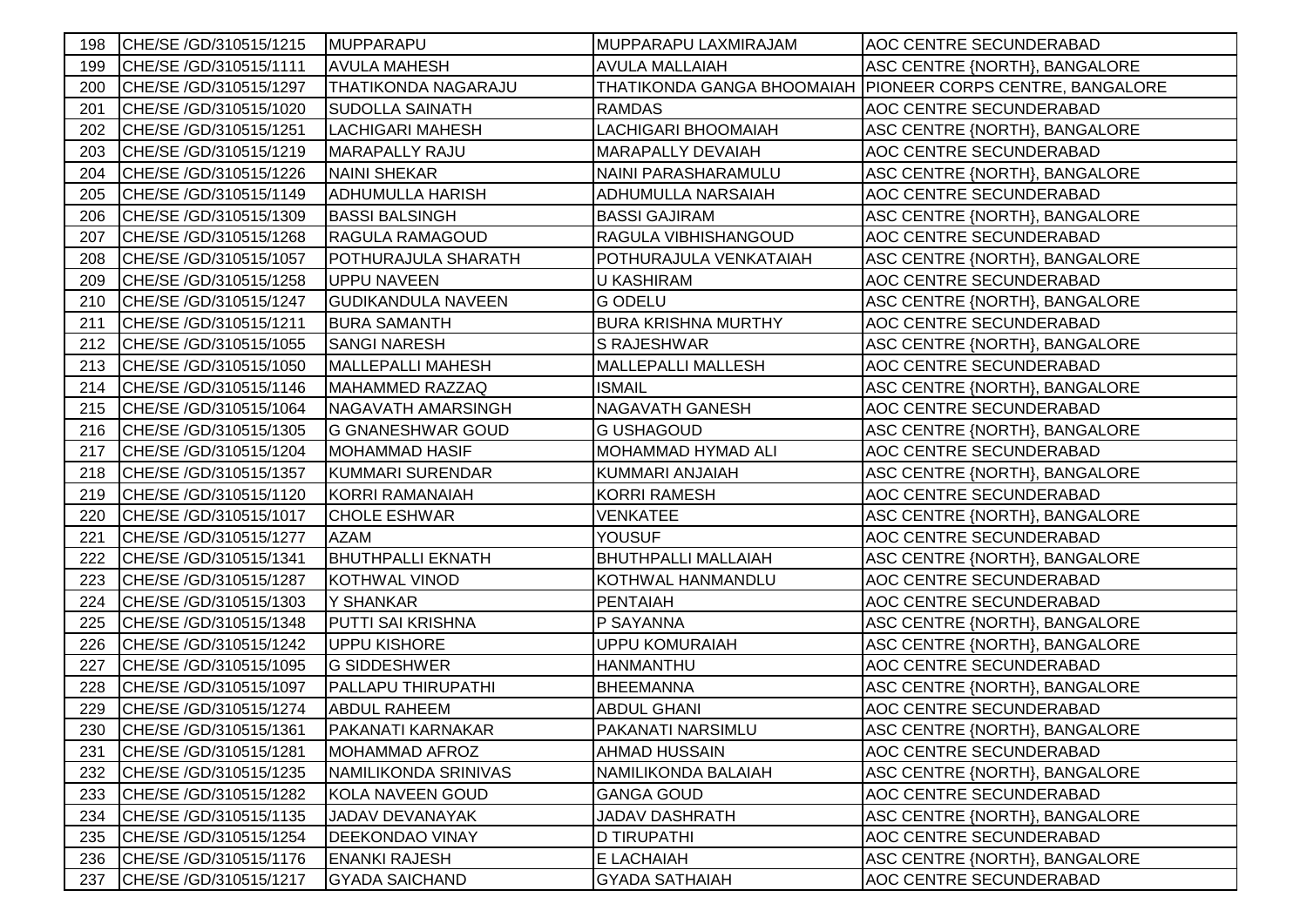| 198 | CHE/SE /GD/310515/1215 | MUPPARAPU                  | MUPPARAPU LAXMIRAJAM       | AOC CENTRE SECUNDERABAD                                    |
|-----|------------------------|----------------------------|----------------------------|------------------------------------------------------------|
| 199 | CHE/SE /GD/310515/1111 | <b>AVULA MAHESH</b>        | <b>AVULA MALLAIAH</b>      | ASC CENTRE {NORTH}, BANGALORE                              |
| 200 | CHE/SE /GD/310515/1297 | <b>THATIKONDA NAGARAJU</b> |                            | THATIKONDA GANGA BHOOMAIAH PIONEER CORPS CENTRE, BANGALORE |
| 201 | CHE/SE /GD/310515/1020 | <b>SUDOLLA SAINATH</b>     | <b>RAMDAS</b>              | AOC CENTRE SECUNDERABAD                                    |
| 202 | CHE/SE /GD/310515/1251 | <b>LACHIGARI MAHESH</b>    | <b>LACHIGARI BHOOMAIAH</b> | ASC CENTRE {NORTH}, BANGALORE                              |
| 203 | CHE/SE /GD/310515/1219 | MARAPALLY RAJU             | <b>MARAPALLY DEVAIAH</b>   | AOC CENTRE SECUNDERABAD                                    |
| 204 | CHE/SE /GD/310515/1226 | <b>NAINI SHEKAR</b>        | NAINI PARASHARAMULU        | ASC CENTRE {NORTH}, BANGALORE                              |
| 205 | CHE/SE /GD/310515/1149 | <b>ADHUMULLA HARISH</b>    | ADHUMULLA NARSAIAH         | AOC CENTRE SECUNDERABAD                                    |
| 206 | CHE/SE /GD/310515/1309 | <b>BASSI BALSINGH</b>      | <b>BASSI GAJIRAM</b>       | ASC CENTRE {NORTH}, BANGALORE                              |
| 207 | CHE/SE /GD/310515/1268 | RAGULA RAMAGOUD            | RAGULA VIBHISHANGOUD       | AOC CENTRE SECUNDERABAD                                    |
| 208 | CHE/SE /GD/310515/1057 | POTHURAJULA SHARATH        | POTHURAJULA VENKATAIAH     | ASC CENTRE {NORTH}, BANGALORE                              |
| 209 | CHE/SE /GD/310515/1258 | <b>UPPU NAVEEN</b>         | <b>U KASHIRAM</b>          | AOC CENTRE SECUNDERABAD                                    |
| 210 | CHE/SE /GD/310515/1247 | <b>GUDIKANDULA NAVEEN</b>  | <b>G ODELU</b>             | ASC CENTRE {NORTH}, BANGALORE                              |
| 211 | CHE/SE /GD/310515/1211 | <b>BURA SAMANTH</b>        | <b>BURA KRISHNA MURTHY</b> | AOC CENTRE SECUNDERABAD                                    |
| 212 | CHE/SE /GD/310515/1055 | <b>SANGI NARESH</b>        | S RAJESHWAR                | ASC CENTRE {NORTH}, BANGALORE                              |
| 213 | CHE/SE /GD/310515/1050 | <b>MALLEPALLI MAHESH</b>   | <b>MALLEPALLI MALLESH</b>  | AOC CENTRE SECUNDERABAD                                    |
| 214 | CHE/SE /GD/310515/1146 | MAHAMMED RAZZAQ            | <b>ISMAIL</b>              | ASC CENTRE {NORTH}, BANGALORE                              |
| 215 | CHE/SE /GD/310515/1064 | NAGAVATH AMARSINGH         | <b>NAGAVATH GANESH</b>     | AOC CENTRE SECUNDERABAD                                    |
| 216 | CHE/SE /GD/310515/1305 | <b>G GNANESHWAR GOUD</b>   | <b>G USHAGOUD</b>          | ASC CENTRE {NORTH}, BANGALORE                              |
| 217 | CHE/SE /GD/310515/1204 | <b>MOHAMMAD HASIF</b>      | <b>MOHAMMAD HYMAD ALI</b>  | AOC CENTRE SECUNDERABAD                                    |
| 218 | CHE/SE /GD/310515/1357 | <b>KUMMARI SURENDAR</b>    | KUMMARI ANJAIAH            | ASC CENTRE {NORTH}, BANGALORE                              |
| 219 | CHE/SE /GD/310515/1120 | KORRI RAMANAIAH            | <b>KORRI RAMESH</b>        | AOC CENTRE SECUNDERABAD                                    |
| 220 | CHE/SE /GD/310515/1017 | <b>CHOLE ESHWAR</b>        | <b>VENKATEE</b>            | ASC CENTRE {NORTH}, BANGALORE                              |
| 221 | CHE/SE /GD/310515/1277 | <b>AZAM</b>                | <b>YOUSUF</b>              | AOC CENTRE SECUNDERABAD                                    |
| 222 | CHE/SE /GD/310515/1341 | <b>BHUTHPALLI EKNATH</b>   | <b>BHUTHPALLI MALLAIAH</b> | ASC CENTRE {NORTH}, BANGALORE                              |
| 223 | CHE/SE /GD/310515/1287 | <b>KOTHWAL VINOD</b>       | KOTHWAL HANMANDLU          | AOC CENTRE SECUNDERABAD                                    |
| 224 | CHE/SE /GD/310515/1303 | Y SHANKAR                  | <b>PENTAIAH</b>            | AOC CENTRE SECUNDERABAD                                    |
| 225 | CHE/SE /GD/310515/1348 | PUTTI SAI KRISHNA          | P SAYANNA                  | ASC CENTRE {NORTH}, BANGALORE                              |
| 226 | CHE/SE /GD/310515/1242 | <b>UPPU KISHORE</b>        | <b>UPPU KOMURAIAH</b>      | ASC CENTRE {NORTH}, BANGALORE                              |
| 227 | CHE/SE /GD/310515/1095 | <b>G SIDDESHWER</b>        | <b>HANMANTHU</b>           | AOC CENTRE SECUNDERABAD                                    |
| 228 | CHE/SE /GD/310515/1097 | PALLAPU THIRUPATHI         | <b>BHEEMANNA</b>           | ASC CENTRE {NORTH}, BANGALORE                              |
| 229 | CHE/SE /GD/310515/1274 | <b>ABDUL RAHEEM</b>        | <b>ABDUL GHANI</b>         | AOC CENTRE SECUNDERABAD                                    |
| 230 | CHE/SE /GD/310515/1361 | PAKANATI KARNAKAR          | PAKANATI NARSIMLU          | ASC CENTRE {NORTH}, BANGALORE                              |
| 231 | CHE/SE /GD/310515/1281 | MOHAMMAD AFROZ             | <b>AHMAD HUSSAIN</b>       | AOC CENTRE SECUNDERABAD                                    |
| 232 | CHE/SE /GD/310515/1235 | NAMILIKONDA SRINIVAS       | NAMILIKONDA BALAIAH        | ASC CENTRE {NORTH}, BANGALORE                              |
| 233 | CHE/SE /GD/310515/1282 | <b>KOLA NAVEEN GOUD</b>    | <b>GANGA GOUD</b>          | AOC CENTRE SECUNDERABAD                                    |
| 234 | CHE/SE /GD/310515/1135 | JADAV DEVANAYAK            | <b>JADAV DASHRATH</b>      | ASC CENTRE {NORTH}, BANGALORE                              |
| 235 | CHE/SE /GD/310515/1254 | DEEKONDAO VINAY            | <b>D TIRUPATHI</b>         | AOC CENTRE SECUNDERABAD                                    |
| 236 | CHE/SE /GD/310515/1176 | <b>ENANKI RAJESH</b>       | E LACHAIAH                 | ASC CENTRE {NORTH}, BANGALORE                              |
| 237 | CHE/SE /GD/310515/1217 | <b>GYADA SAICHAND</b>      | <b>GYADA SATHAIAH</b>      | AOC CENTRE SECUNDERABAD                                    |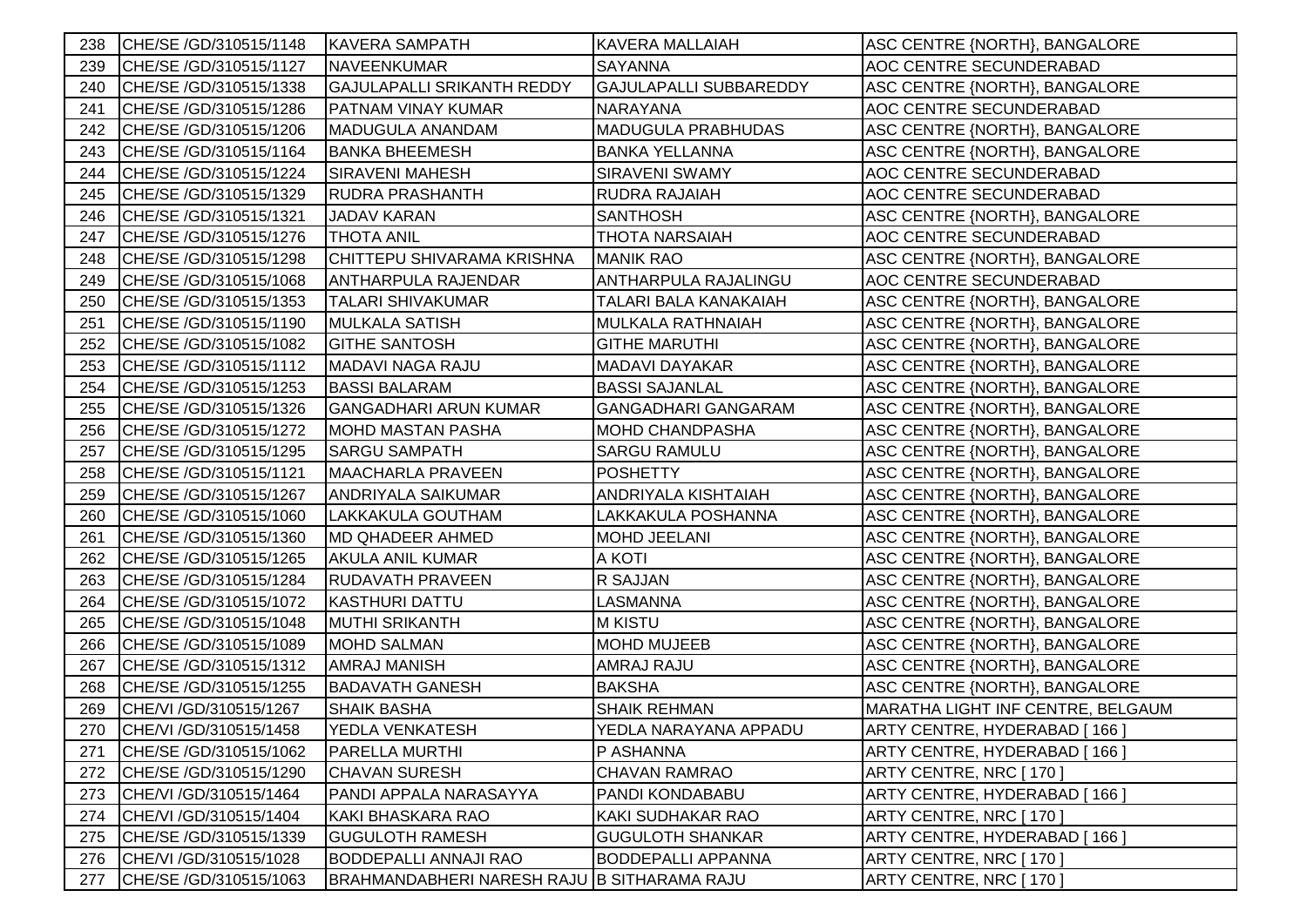| 238 | CHE/SE /GD/310515/1148  | <b>KAVERA SAMPATH</b>                       | <b>KAVERA MALLAIAH</b>        | ASC CENTRE {NORTH}, BANGALORE     |
|-----|-------------------------|---------------------------------------------|-------------------------------|-----------------------------------|
| 239 | CHE/SE /GD/310515/1127  | NAVEENKUMAR                                 | <b>SAYANNA</b>                | AOC CENTRE SECUNDERABAD           |
| 240 | CHE/SE /GD/310515/1338  | <b>GAJULAPALLI SRIKANTH REDDY</b>           | <b>GAJULAPALLI SUBBAREDDY</b> | ASC CENTRE {NORTH}, BANGALORE     |
| 241 | CHE/SE /GD/310515/1286  | PATNAM VINAY KUMAR                          | <b>NARAYANA</b>               | AOC CENTRE SECUNDERABAD           |
| 242 | CHE/SE /GD/310515/1206  | MADUGULA ANANDAM                            | <b>MADUGULA PRABHUDAS</b>     | ASC CENTRE {NORTH}, BANGALORE     |
| 243 | CHE/SE /GD/310515/1164  | <b>BANKA BHEEMESH</b>                       | <b>BANKA YELLANNA</b>         | ASC CENTRE {NORTH}, BANGALORE     |
| 244 | CHE/SE /GD/310515/1224  | SIRAVENI MAHESH                             | SIRAVENI SWAMY                | AOC CENTRE SECUNDERABAD           |
| 245 | CHE/SE /GD/310515/1329  | RUDRA PRASHANTH                             | RUDRA RAJAIAH                 | AOC CENTRE SECUNDERABAD           |
| 246 | CHE/SE /GD/310515/1321  | JADAV KARAN                                 | <b>SANTHOSH</b>               | ASC CENTRE {NORTH}, BANGALORE     |
| 247 | CHE/SE /GD/310515/1276  | <b>THOTA ANIL</b>                           | <b>THOTA NARSAIAH</b>         | AOC CENTRE SECUNDERABAD           |
| 248 | CHE/SE /GD/310515/1298  | CHITTEPU SHIVARAMA KRISHNA                  | <b>MANIK RAO</b>              | ASC CENTRE {NORTH}, BANGALORE     |
| 249 | CHE/SE /GD/310515/1068  | <b>ANTHARPULA RAJENDAR</b>                  | ANTHARPULA RAJALINGU          | AOC CENTRE SECUNDERABAD           |
| 250 | CHE/SE /GD/310515/1353  | <b>TALARI SHIVAKUMAR</b>                    | <b>TALARI BALA KANAKAIAH</b>  | ASC CENTRE {NORTH}, BANGALORE     |
| 251 | CHE/SE /GD/310515/1190  | <b>MULKALA SATISH</b>                       | MULKALA RATHNAIAH             | ASC CENTRE {NORTH}, BANGALORE     |
| 252 | CHE/SE /GD/310515/1082  | <b>GITHE SANTOSH</b>                        | <b>GITHE MARUTHI</b>          | ASC CENTRE {NORTH}, BANGALORE     |
| 253 | CHE/SE /GD/310515/1112  | MADAVI NAGA RAJU                            | MADAVI DAYAKAR                | ASC CENTRE {NORTH}, BANGALORE     |
| 254 | CHE/SE /GD/310515/1253  | <b>BASSI BALARAM</b>                        | <b>BASSI SAJANLAL</b>         | ASC CENTRE {NORTH}, BANGALORE     |
| 255 | CHE/SE /GD/310515/1326  | <b>GANGADHARI ARUN KUMAR</b>                | <b>GANGADHARI GANGARAM</b>    | ASC CENTRE {NORTH}, BANGALORE     |
| 256 | CHE/SE /GD/310515/1272  | <b>MOHD MASTAN PASHA</b>                    | <b>MOHD CHANDPASHA</b>        | ASC CENTRE {NORTH}, BANGALORE     |
| 257 | CHE/SE /GD/310515/1295  | <b>SARGU SAMPATH</b>                        | <b>SARGU RAMULU</b>           | ASC CENTRE {NORTH}, BANGALORE     |
| 258 | CHE/SE /GD/310515/1121  | <b>MAACHARLA PRAVEEN</b>                    | <b>POSHETTY</b>               | ASC CENTRE {NORTH}, BANGALORE     |
| 259 | CHE/SE /GD/310515/1267  | <b>ANDRIYALA SAIKUMAR</b>                   | ANDRIYALA KISHTAIAH           | ASC CENTRE {NORTH}, BANGALORE     |
| 260 | CHE/SE /GD/310515/1060  | LAKKAKULA GOUTHAM                           | LAKKAKULA POSHANNA            | ASC CENTRE {NORTH}, BANGALORE     |
| 261 | CHE/SE /GD/310515/1360  | <b>MD QHADEER AHMED</b>                     | MOHD JEELANI                  | ASC CENTRE {NORTH}, BANGALORE     |
| 262 | CHE/SE /GD/310515/1265  | AKULA ANIL KUMAR                            | A KOTI                        | ASC CENTRE {NORTH}, BANGALORE     |
| 263 | CHE/SE /GD/310515/1284  | RUDAVATH PRAVEEN                            | R SAJJAN                      | ASC CENTRE {NORTH}, BANGALORE     |
| 264 | CHE/SE /GD/310515/1072  | <b>KASTHURI DATTU</b>                       | LASMANNA                      | ASC CENTRE {NORTH}, BANGALORE     |
| 265 | CHE/SE /GD/310515/1048  | <b>MUTHI SRIKANTH</b>                       | <b>M KISTU</b>                | ASC CENTRE {NORTH}, BANGALORE     |
| 266 | CHE/SE /GD/310515/1089  | <b>MOHD SALMAN</b>                          | <b>MOHD MUJEEB</b>            | ASC CENTRE {NORTH}, BANGALORE     |
| 267 | CHE/SE /GD/310515/1312  | <b>AMRAJ MANISH</b>                         | AMRAJ RAJU                    | ASC CENTRE {NORTH}, BANGALORE     |
| 268 | CHE/SE /GD/310515/1255  | <b>BADAVATH GANESH</b>                      | <b>BAKSHA</b>                 | ASC CENTRE {NORTH}, BANGALORE     |
| 269 | CHE/VI / GD/310515/1267 | <b>SHAIK BASHA</b>                          | <b>SHAIK REHMAN</b>           | MARATHA LIGHT INF CENTRE, BELGAUM |
| 270 | CHE/VI / GD/310515/1458 | YEDLA VENKATESH                             | YEDLA NARAYANA APPADU         | ARTY CENTRE, HYDERABAD [166]      |
| 271 | CHE/SE /GD/310515/1062  | PARELLA MURTHI                              | P ASHANNA                     | ARTY CENTRE, HYDERABAD [166]      |
| 272 | CHE/SE /GD/310515/1290  | <b>CHAVAN SURESH</b>                        | <b>CHAVAN RAMRAO</b>          | ARTY CENTRE, NRC [170]            |
| 273 | CHE/VI / GD/310515/1464 | PANDI APPALA NARASAYYA                      | PANDI KONDABABU               | ARTY CENTRE, HYDERABAD [166]      |
| 274 | CHE/VI / GD/310515/1404 | KAKI BHASKARA RAO                           | <b>KAKI SUDHAKAR RAO</b>      | ARTY CENTRE, NRC [ 170 ]          |
| 275 | CHE/SE /GD/310515/1339  | <b>GUGULOTH RAMESH</b>                      | <b>GUGULOTH SHANKAR</b>       | ARTY CENTRE, HYDERABAD [166]      |
| 276 | CHE/VI / GD/310515/1028 | <b>BODDEPALLI ANNAJI RAO</b>                | <b>BODDEPALLI APPANNA</b>     | ARTY CENTRE, NRC [ 170 ]          |
| 277 | CHE/SE /GD/310515/1063  | BRAHMANDABHERI NARESH RAJU B SITHARAMA RAJU |                               | ARTY CENTRE, NRC [170]            |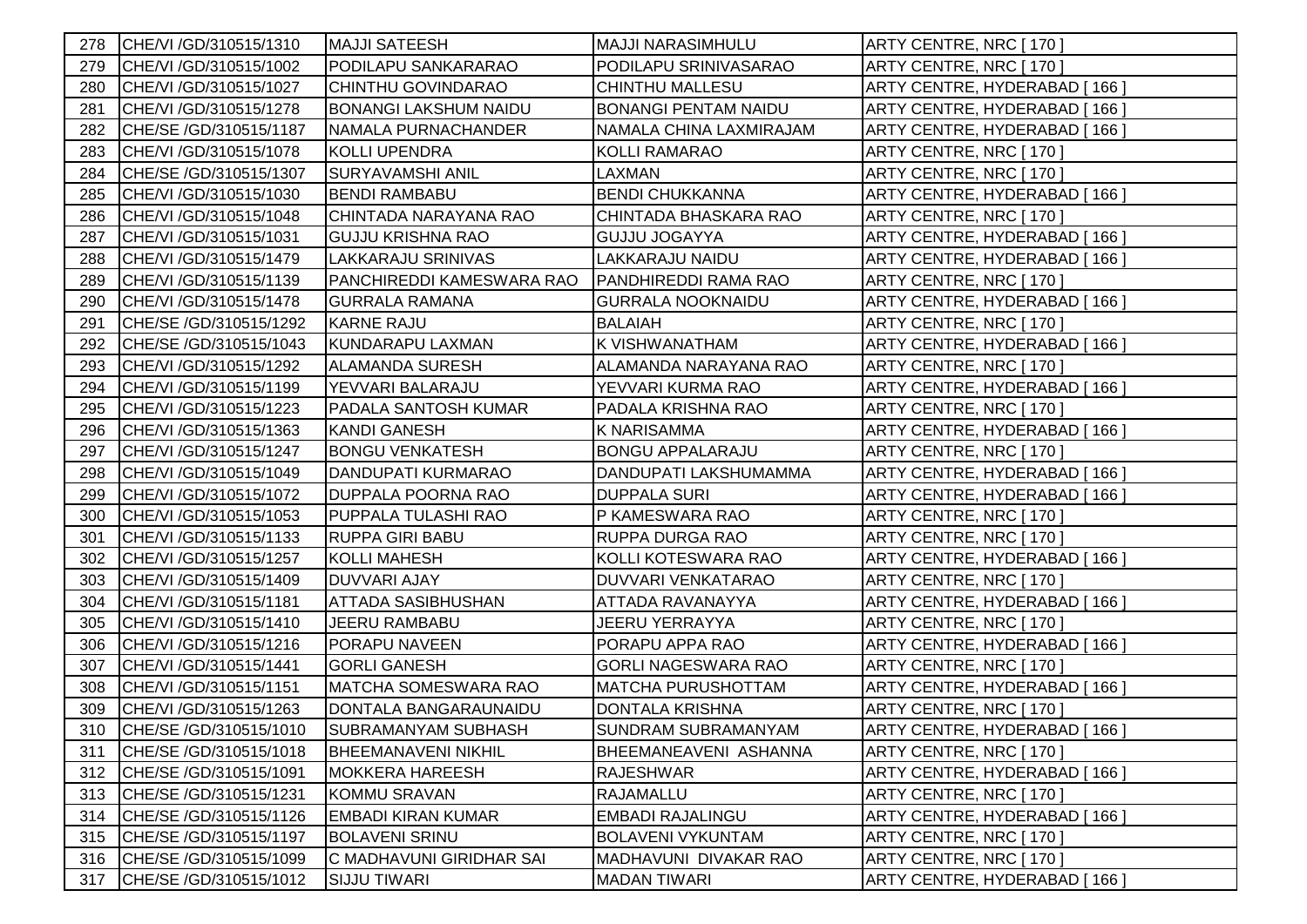| 278 | CHE/VI / GD/310515/1310    | <b>MAJJI SATEESH</b>         | <b>MAJJI NARASIMHULU</b>    | ARTY CENTRE, NRC [170]       |
|-----|----------------------------|------------------------------|-----------------------------|------------------------------|
| 279 | CHE/VI / GD/310515/1002    | PODILAPU SANKARARAO          | PODILAPU SRINIVASARAO       | ARTY CENTRE, NRC [170]       |
| 280 | CHE/VI /GD/310515/1027     | CHINTHU GOVINDARAO           | <b>CHINTHU MALLESU</b>      | ARTY CENTRE, HYDERABAD [166] |
| 281 | CHE/VI / GD/310515/1278    | <b>BONANGI LAKSHUM NAIDU</b> | <b>BONANGI PENTAM NAIDU</b> | ARTY CENTRE, HYDERABAD [166] |
| 282 | CHE/SE /GD/310515/1187     | NAMALA PURNACHANDER          | NAMALA CHINA LAXMIRAJAM     | ARTY CENTRE, HYDERABAD [166] |
| 283 | CHE/VI / GD/310515/1078    | <b>KOLLI UPENDRA</b>         | <b>KOLLI RAMARAO</b>        | ARTY CENTRE, NRC [ 170 ]     |
| 284 | CHE/SE /GD/310515/1307     | SURYAVAMSHI ANIL             | LAXMAN                      | ARTY CENTRE, NRC [ 170 ]     |
| 285 | CHE/VI /GD/310515/1030     | <b>BENDI RAMBABU</b>         | <b>BENDI CHUKKANNA</b>      | ARTY CENTRE, HYDERABAD [166] |
| 286 | CHE/VI / GD/310515/1048    | CHINTADA NARAYANA RAO        | CHINTADA BHASKARA RAO       | ARTY CENTRE, NRC [170]       |
| 287 | CHE/VI /GD/310515/1031     | <b>GUJJU KRISHNA RAO</b>     | <b>GUJJU JOGAYYA</b>        | ARTY CENTRE, HYDERABAD [166] |
| 288 | CHE/VI / GD/310515/1479    | LAKKARAJU SRINIVAS           | LAKKARAJU NAIDU             | ARTY CENTRE, HYDERABAD [166] |
| 289 | CHE/VI / GD/310515/1139    | PANCHIREDDI KAMESWARA RAO    | PANDHIREDDI RAMA RAO        | ARTY CENTRE, NRC [170]       |
| 290 | CHE/VI / GD/310515/1478    | <b>GURRALA RAMANA</b>        | <b>GURRALA NOOKNAIDU</b>    | ARTY CENTRE, HYDERABAD [166] |
| 291 | CHE/SE /GD/310515/1292     | <b>KARNE RAJU</b>            | <b>BALAIAH</b>              | ARTY CENTRE, NRC [170]       |
| 292 | CHE/SE /GD/310515/1043     | KUNDARAPU LAXMAN             | K VISHWANATHAM              | ARTY CENTRE, HYDERABAD [166] |
| 293 | CHE/VI / GD/310515/1292    | <b>ALAMANDA SURESH</b>       | ALAMANDA NARAYANA RAO       | ARTY CENTRE, NRC [ 170 ]     |
| 294 | CHE/VI / GD/310515/1199    | YEVVARI BALARAJU             | YEVVARI KURMA RAO           | ARTY CENTRE, HYDERABAD [166] |
| 295 | CHE/VI / GD/310515/1223    | PADALA SANTOSH KUMAR         | PADALA KRISHNA RAO          | ARTY CENTRE, NRC [170]       |
| 296 | CHE/VI / GD/310515/1363    | <b>KANDI GANESH</b>          | <b>K NARISAMMA</b>          | ARTY CENTRE, HYDERABAD [166] |
| 297 | CHE/VI / GD/310515/1247    | <b>BONGU VENKATESH</b>       | <b>BONGU APPALARAJU</b>     | ARTY CENTRE, NRC [ 170 ]     |
| 298 | CHE/VI /GD/310515/1049     | DANDUPATI KURMARAO           | DANDUPATI LAKSHUMAMMA       | ARTY CENTRE, HYDERABAD [166] |
| 299 | CHE/VI / GD/310515/1072    | DUPPALA POORNA RAO           | <b>DUPPALA SURI</b>         | ARTY CENTRE, HYDERABAD [166] |
| 300 | CHE/VI / GD/310515/1053    | PUPPALA TULASHI RAO          | P KAMESWARA RAO             | ARTY CENTRE, NRC [170]       |
| 301 | CHE/VI / GD/310515/1133    | <b>RUPPA GIRI BABU</b>       | <b>RUPPA DURGA RAO</b>      | ARTY CENTRE, NRC [170]       |
| 302 | CHE/VI / GD/310515/1257    | <b>KOLLI MAHESH</b>          | KOLLI KOTESWARA RAO         | ARTY CENTRE, HYDERABAD [166] |
| 303 | CHE/VI /GD/310515/1409     | <b>DUVVARI AJAY</b>          | DUVVARI VENKATARAO          | ARTY CENTRE, NRC [170]       |
| 304 | CHE/VI / GD/310515/1181    | ATTADA SASIBHUSHAN           | ATTADA RAVANAYYA            | ARTY CENTRE, HYDERABAD [166] |
| 305 | CHE/VI / GD/310515/1410    | JEERU RAMBABU                | <b>JEERU YERRAYYA</b>       | ARTY CENTRE, NRC [ 170 ]     |
| 306 | CHE/VI / GD/310515/1216    | PORAPU NAVEEN                | PORAPU APPA RAO             | ARTY CENTRE, HYDERABAD [166] |
| 307 | CHE/VI / GD/310515/1441    | <b>GORLI GANESH</b>          | <b>GORLI NAGESWARA RAO</b>  | ARTY CENTRE, NRC [170]       |
| 308 | CHE/VI /GD/310515/1151     | <b>MATCHA SOMESWARA RAO</b>  | <b>MATCHA PURUSHOTTAM</b>   | ARTY CENTRE, HYDERABAD [166] |
| 309 | CHE/VI / GD/310515/1263    | DONTALA BANGARAUNAIDU        | <b>DONTALA KRISHNA</b>      | ARTY CENTRE, NRC [170]       |
|     | 310 CHE/SE /GD/310515/1010 | SUBRAMANYAM SUBHASH          | SUNDRAM SUBRAMANYAM         | ARTY CENTRE, HYDERABAD [166] |
| 311 | CHE/SE /GD/310515/1018     | <b>BHEEMANAVENI NIKHIL</b>   | BHEEMANEAVENI ASHANNA       | ARTY CENTRE, NRC [170]       |
| 312 | CHE/SE /GD/310515/1091     | <b>MOKKERA HAREESH</b>       | <b>RAJESHWAR</b>            | ARTY CENTRE, HYDERABAD [166] |
| 313 | CHE/SE /GD/310515/1231     | <b>KOMMU SRAVAN</b>          | <b>RAJAMALLU</b>            | ARTY CENTRE, NRC [170]       |
| 314 | CHE/SE /GD/310515/1126     | <b>EMBADI KIRAN KUMAR</b>    | EMBADI RAJALINGU            | ARTY CENTRE, HYDERABAD [166] |
| 315 | CHE/SE /GD/310515/1197     | <b>BOLAVENI SRINU</b>        | <b>BOLAVENI VYKUNTAM</b>    | ARTY CENTRE, NRC [170]       |
| 316 | CHE/SE /GD/310515/1099     | C MADHAVUNI GIRIDHAR SAI     | MADHAVUNI DIVAKAR RAO       | ARTY CENTRE, NRC [ 170]      |
| 317 | CHE/SE /GD/310515/1012     | <b>SIJJU TIWARI</b>          | <b>MADAN TIWARI</b>         | ARTY CENTRE, HYDERABAD [166] |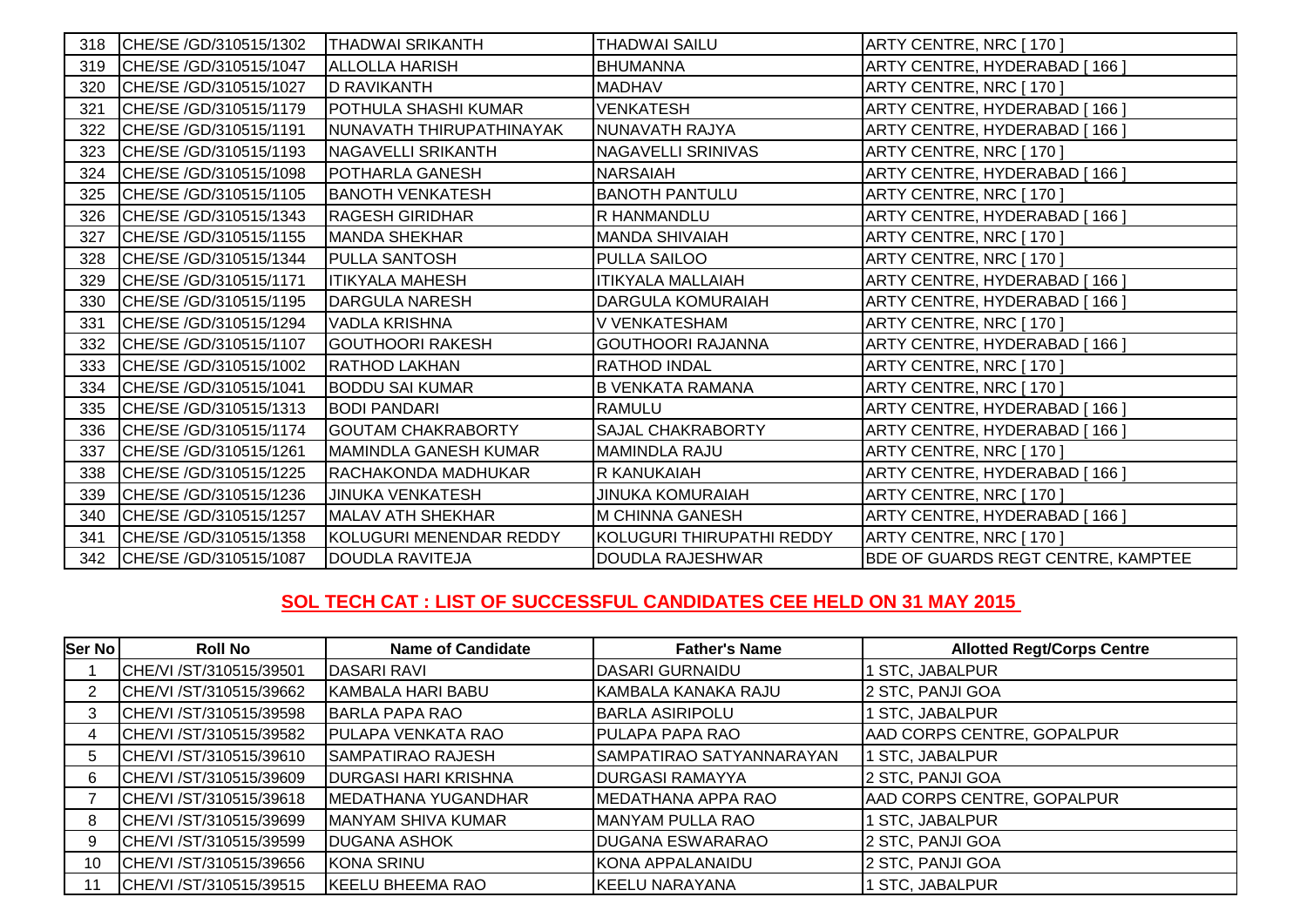| 318 | CHE/SE /GD/310515/1302 | <b>THADWAI SRIKANTH</b>      | <b>THADWAI SAILU</b>      | ARTY CENTRE, NRC [ 170 ]                  |
|-----|------------------------|------------------------------|---------------------------|-------------------------------------------|
| 319 | CHE/SE /GD/310515/1047 | <b>ALLOLLA HARISH</b>        | <b>BHUMANNA</b>           | ARTY CENTRE, HYDERABAD [166]              |
| 320 | CHE/SE /GD/310515/1027 | <b>D RAVIKANTH</b>           | <b>MADHAV</b>             | ARTY CENTRE, NRC [ 170 ]                  |
| 321 | CHE/SE /GD/310515/1179 | POTHULA SHASHI KUMAR         | VENKATESH                 | ARTY CENTRE, HYDERABAD [166]              |
| 322 | CHE/SE /GD/310515/1191 | NUNAVATH THIRUPATHINAYAK     | NUNAVATH RAJYA            | ARTY CENTRE, HYDERABAD [166]              |
| 323 | CHE/SE /GD/310515/1193 | NAGAVELLI SRIKANTH           | <b>NAGAVELLI SRINIVAS</b> | ARTY CENTRE, NRC [170]                    |
| 324 | CHE/SE /GD/310515/1098 | POTHARLA GANESH              | <b>NARSAIAH</b>           | ARTY CENTRE, HYDERABAD [166]              |
| 325 | CHE/SE /GD/310515/1105 | <b>BANOTH VENKATESH</b>      | <b>BANOTH PANTULU</b>     | ARTY CENTRE, NRC [170]                    |
| 326 | CHE/SE /GD/310515/1343 | <b>RAGESH GIRIDHAR</b>       | R HANMANDLU               | ARTY CENTRE, HYDERABAD [166]              |
| 327 | CHE/SE /GD/310515/1155 | <b>MANDA SHEKHAR</b>         | <b>MANDA SHIVAIAH</b>     | ARTY CENTRE, NRC [170]                    |
| 328 | CHE/SE /GD/310515/1344 | PULLA SANTOSH                | PULLA SAILOO              | ARTY CENTRE, NRC [ 170 ]                  |
| 329 | CHE/SE /GD/310515/1171 | <b>ITIKYALA MAHESH</b>       | <b>ITIKYALA MALLAIAH</b>  | ARTY CENTRE, HYDERABAD [166]              |
| 330 | CHE/SE /GD/310515/1195 | <b>DARGULA NARESH</b>        | <b>DARGULA KOMURAIAH</b>  | ARTY CENTRE, HYDERABAD [166]              |
| 331 | CHE/SE /GD/310515/1294 | <b>VADLA KRISHNA</b>         | V VENKATESHAM             | ARTY CENTRE, NRC [170]                    |
| 332 | CHE/SE /GD/310515/1107 | <b>GOUTHOORI RAKESH</b>      | <b>GOUTHOORI RAJANNA</b>  | ARTY CENTRE, HYDERABAD [166]              |
| 333 | CHE/SE /GD/310515/1002 | <b>RATHOD LAKHAN</b>         | <b>RATHOD INDAL</b>       | ARTY CENTRE, NRC [170]                    |
| 334 | CHE/SE /GD/310515/1041 | <b>BODDU SAI KUMAR</b>       | <b>B VENKATA RAMANA</b>   | ARTY CENTRE, NRC [170]                    |
| 335 | CHE/SE /GD/310515/1313 | <b>BODI PANDARI</b>          | <b>RAMULU</b>             | ARTY CENTRE, HYDERABAD [166]              |
| 336 | CHE/SE /GD/310515/1174 | <b>GOUTAM CHAKRABORTY</b>    | <b>SAJAL CHAKRABORTY</b>  | ARTY CENTRE, HYDERABAD [166]              |
| 337 | CHE/SE /GD/310515/1261 | <b>MAMINDLA GANESH KUMAR</b> | <b>MAMINDLA RAJU</b>      | ARTY CENTRE, NRC [170]                    |
| 338 | CHE/SE /GD/310515/1225 | RACHAKONDA MADHUKAR          | R KANUKAIAH               | ARTY CENTRE, HYDERABAD [166]              |
| 339 | CHE/SE /GD/310515/1236 | <b>JINUKA VENKATESH</b>      | <b>JINUKA KOMURAIAH</b>   | ARTY CENTRE, NRC [170]                    |
| 340 | CHE/SE /GD/310515/1257 | <b>MALAV ATH SHEKHAR</b>     | <b>M CHINNA GANESH</b>    | ARTY CENTRE, HYDERABAD [166]              |
| 341 | CHE/SE /GD/310515/1358 | KOLUGURI MENENDAR REDDY      | KOLUGURI THIRUPATHI REDDY | ARTY CENTRE, NRC [170]                    |
| 342 | CHE/SE /GD/310515/1087 | <b>DOUDLA RAVITEJA</b>       | <b>DOUDLA RAJESHWAR</b>   | <b>BDE OF GUARDS REGT CENTRE, KAMPTEE</b> |

## **SOL TECH CAT : LIST OF SUCCESSFUL CANDIDATES CEE HELD ON 31 MAY 2015**

| Ser No | <b>Roll No</b>          | <b>Name of Candidate</b>    | <b>Father's Name</b>     | <b>Allotted Regt/Corps Centre</b> |
|--------|-------------------------|-----------------------------|--------------------------|-----------------------------------|
|        | CHE/VI /ST/310515/39501 | <b>DASARI RAVI</b>          | DASARI GURNAIDU          | 1 STC, JABALPUR                   |
|        | CHE/VI /ST/310515/39662 | <b>KAMBALA HARI BABU</b>    | KAMBALA KANAKA RAJU      | 2 STC, PANJI GOA                  |
|        | CHE/VI /ST/310515/39598 | <b>BARLA PAPA RAO</b>       | <b>BARLA ASIRIPOLU</b>   | 1 STC, JABALPUR                   |
|        | CHE/VI /ST/310515/39582 | <b>PULAPA VENKATA RAO</b>   | <b>PULAPA PAPA RAO</b>   | AAD CORPS CENTRE, GOPALPUR        |
|        | CHE/VI /ST/310515/39610 | SAMPATIRAO RAJESH           | SAMPATIRAO SATYANNARAYAN | 1 STC, JABALPUR                   |
|        | CHE/VI /ST/310515/39609 | <b>DURGASI HARI KRISHNA</b> | <b>DURGASI RAMAYYA</b>   | 2 STC, PANJI GOA                  |
|        | CHE/VI /ST/310515/39618 | <b>IMEDATHANA YUGANDHAR</b> | MEDATHANA APPA RAO       | AAD CORPS CENTRE, GOPALPUR        |
|        | CHE/VI /ST/310515/39699 | MANYAM SHIVA KUMAR          | <b>MANYAM PULLA RAO</b>  | 1 STC, JABALPUR                   |
|        | CHE/VI /ST/310515/39599 | <b>DUGANA ASHOK</b>         | <b>DUGANA ESWARARAO</b>  | 2 STC, PANJI GOA                  |
| 10     | CHE/VI /ST/310515/39656 | <b>KONA SRINU</b>           | KONA APPALANAIDU         | 2 STC, PANJI GOA                  |
|        | CHE/VI /ST/310515/39515 | <b>KEELU BHEEMA RAO</b>     | <b>KEELU NARAYANA</b>    | 1 STC, JABALPUR                   |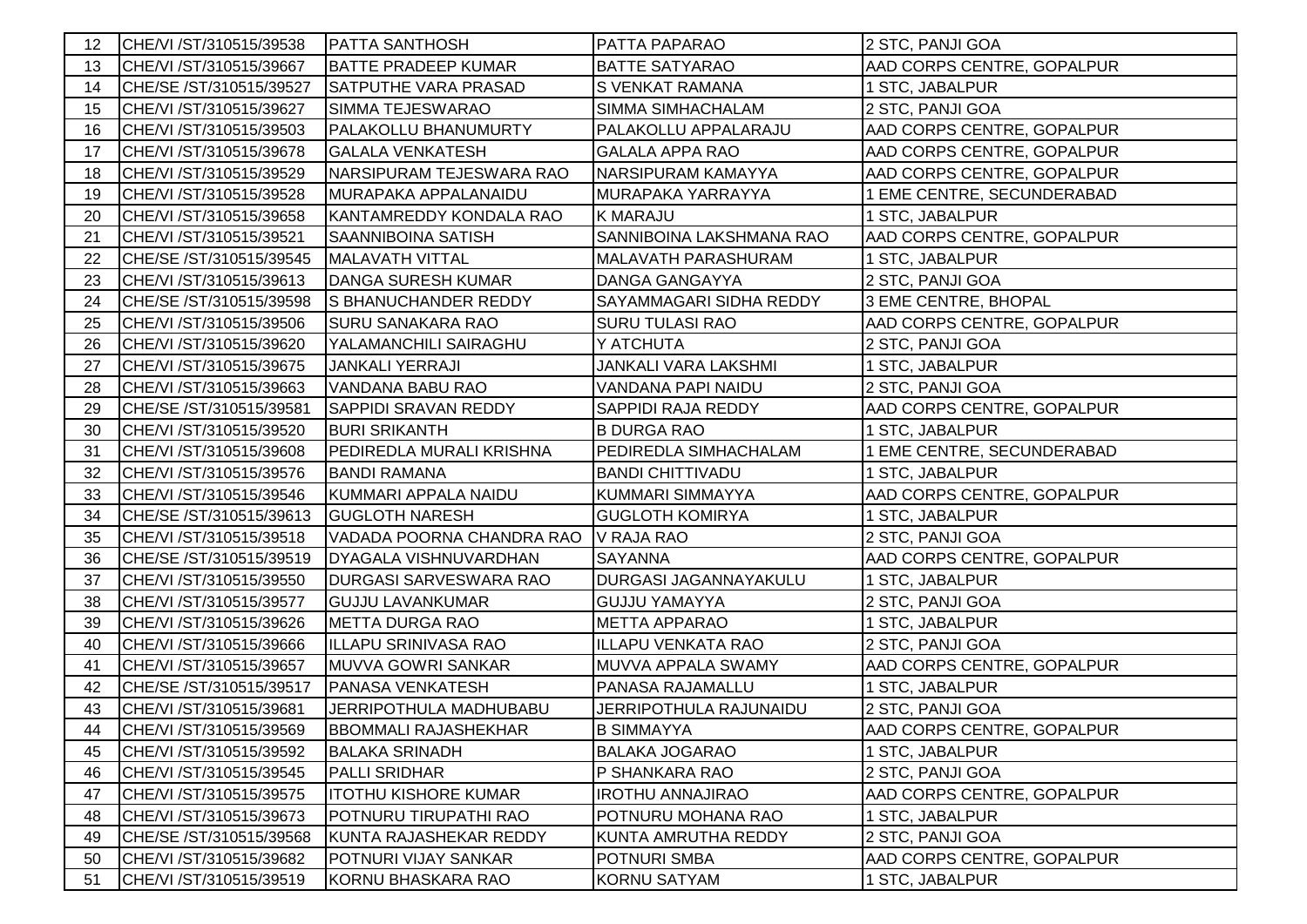| 12 | CHE/VI /ST/310515/39538 | <b>PATTA SANTHOSH</b>       | <b>PATTA PAPARAO</b>         | 2 STC, PANJI GOA           |
|----|-------------------------|-----------------------------|------------------------------|----------------------------|
| 13 | CHE/VI /ST/310515/39667 | <b>BATTE PRADEEP KUMAR</b>  | <b>BATTE SATYARAO</b>        | AAD CORPS CENTRE, GOPALPUR |
| 14 | CHE/SE /ST/310515/39527 | <b>SATPUTHE VARA PRASAD</b> | S VENKAT RAMANA              | 1 STC, JABALPUR            |
| 15 | CHE/VI /ST/310515/39627 | SIMMA TEJESWARAO            | SIMMA SIMHACHALAM            | 2 STC, PANJI GOA           |
| 16 | CHE/VI /ST/310515/39503 | PALAKOLLU BHANUMURTY        | PALAKOLLU APPALARAJU         | AAD CORPS CENTRE, GOPALPUR |
| 17 | CHE/VI /ST/310515/39678 | <b>GALALA VENKATESH</b>     | <b>GALALA APPA RAO</b>       | AAD CORPS CENTRE, GOPALPUR |
| 18 | CHE/VI /ST/310515/39529 | NARSIPURAM TEJESWARA RAO    | NARSIPURAM KAMAYYA           | AAD CORPS CENTRE, GOPALPUR |
| 19 | CHE/VI /ST/310515/39528 | MURAPAKA APPALANAIDU        | MURAPAKA YARRAYYA            | 1 EME CENTRE, SECUNDERABAD |
| 20 | CHE/VI /ST/310515/39658 | KANTAMREDDY KONDALA RAO     | <b>K MARAJU</b>              | 1 STC, JABALPUR            |
| 21 | CHE/VI /ST/310515/39521 | SAANNIBOINA SATISH          | SANNIBOINA LAKSHMANA RAO     | AAD CORPS CENTRE, GOPALPUR |
| 22 | CHE/SE /ST/310515/39545 | <b>MALAVATH VITTAL</b>      | MALAVATH PARASHURAM          | 1 STC, JABALPUR            |
| 23 | CHE/VI /ST/310515/39613 | DANGA SURESH KUMAR          | <b>DANGA GANGAYYA</b>        | 2 STC, PANJI GOA           |
| 24 | CHE/SE /ST/310515/39598 | S BHANUCHANDER REDDY        | SAYAMMAGARI SIDHA REDDY      | 3 EME CENTRE, BHOPAL       |
| 25 | CHE/VI /ST/310515/39506 | <b>SURU SANAKARA RAO</b>    | <b>SURU TULASI RAO</b>       | AAD CORPS CENTRE, GOPALPUR |
| 26 | CHE/VI /ST/310515/39620 | YALAMANCHILI SAIRAGHU       | Y ATCHUTA                    | 2 STC, PANJI GOA           |
| 27 | CHE/VI /ST/310515/39675 | JANKALI YERRAJI             | JANKALI VARA LAKSHMI         | 1 STC, JABALPUR            |
| 28 | CHE/VI /ST/310515/39663 | VANDANA BABU RAO            | VANDANA PAPI NAIDU           | 2 STC, PANJI GOA           |
| 29 | CHE/SE /ST/310515/39581 | <b>SAPPIDI SRAVAN REDDY</b> | SAPPIDI RAJA REDDY           | AAD CORPS CENTRE, GOPALPUR |
| 30 | CHE/VI /ST/310515/39520 | <b>BURI SRIKANTH</b>        | <b>B DURGA RAO</b>           | 1 STC, JABALPUR            |
| 31 | CHE/VI /ST/310515/39608 | PEDIREDLA MURALI KRISHNA    | PEDIREDLA SIMHACHALAM        | 1 EME CENTRE, SECUNDERABAD |
| 32 | CHE/VI /ST/310515/39576 | <b>BANDI RAMANA</b>         | <b>BANDI CHITTIVADU</b>      | 1 STC, JABALPUR            |
| 33 | CHE/VI /ST/310515/39546 | KUMMARI APPALA NAIDU        | KUMMARI SIMMAYYA             | AAD CORPS CENTRE, GOPALPUR |
| 34 | CHE/SE /ST/310515/39613 | <b>GUGLOTH NARESH</b>       | <b>GUGLOTH KOMIRYA</b>       | 1 STC, JABALPUR            |
| 35 | CHE/VI /ST/310515/39518 | VADADA POORNA CHANDRA RAO   | V RAJA RAO                   | 2 STC, PANJI GOA           |
| 36 | CHE/SE /ST/310515/39519 | DYAGALA VISHNUVARDHAN       | <b>SAYANNA</b>               | AAD CORPS CENTRE, GOPALPUR |
| 37 | CHE/VI /ST/310515/39550 | DURGASI SARVESWARA RAO      | <b>DURGASI JAGANNAYAKULU</b> | 1 STC, JABALPUR            |
| 38 | CHE/VI /ST/310515/39577 | <b>GUJJU LAVANKUMAR</b>     | <b>GUJJU YAMAYYA</b>         | 2 STC, PANJI GOA           |
| 39 | CHE/VI /ST/310515/39626 | <b>METTA DURGA RAO</b>      | <b>METTA APPARAO</b>         | 1 STC, JABALPUR            |
| 40 | CHE/VI /ST/310515/39666 | ILLAPU SRINIVASA RAO        | <b>ILLAPU VENKATA RAO</b>    | 2 STC, PANJI GOA           |
| 41 | CHE/VI /ST/310515/39657 | <b>MUVVA GOWRI SANKAR</b>   | MUVVA APPALA SWAMY           | AAD CORPS CENTRE, GOPALPUR |
| 42 | CHE/SE /ST/310515/39517 | <b>PANASA VENKATESH</b>     | PANASA RAJAMALLU             | 1 STC, JABALPUR            |
| 43 | CHE/VI /ST/310515/39681 | JERRIPOTHULA MADHUBABU      | JERRIPOTHULA RAJUNAIDU       | 2 STC, PANJI GOA           |
| 44 | CHE/VI /ST/310515/39569 | <b>BBOMMALI RAJASHEKHAR</b> | <b>B SIMMAYYA</b>            | AAD CORPS CENTRE, GOPALPUR |
| 45 | CHE/VI /ST/310515/39592 | <b>BALAKA SRINADH</b>       | <b>BALAKA JOGARAO</b>        | 1 STC, JABALPUR            |
| 46 | CHE/VI /ST/310515/39545 | <b>PALLI SRIDHAR</b>        | P SHANKARA RAO               | 2 STC, PANJI GOA           |
| 47 | CHE/VI /ST/310515/39575 | <b>ITOTHU KISHORE KUMAR</b> | <b>IROTHU ANNAJIRAO</b>      | AAD CORPS CENTRE, GOPALPUR |
| 48 | CHE/VI /ST/310515/39673 | POTNURU TIRUPATHI RAO       | POTNURU MOHANA RAO           | 1 STC, JABALPUR            |
| 49 | CHE/SE /ST/310515/39568 | KUNTA RAJASHEKAR REDDY      | KUNTA AMRUTHA REDDY          | 2 STC, PANJI GOA           |
| 50 | CHE/VI /ST/310515/39682 | POTNURI VIJAY SANKAR        | <b>POTNURI SMBA</b>          | AAD CORPS CENTRE, GOPALPUR |
| 51 | CHE/VI /ST/310515/39519 | KORNU BHASKARA RAO          | <b>KORNU SATYAM</b>          | 1 STC, JABALPUR            |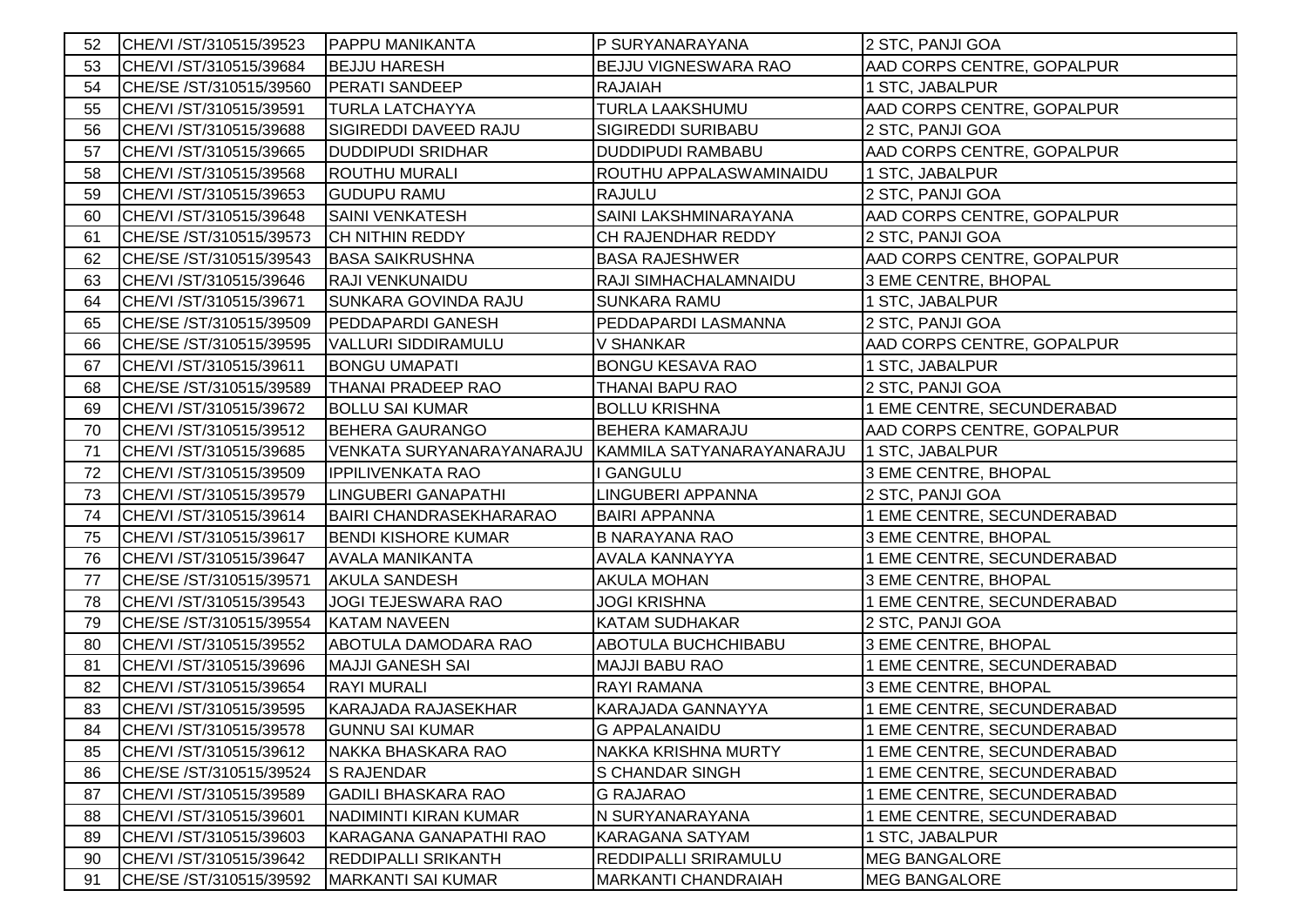| 52 | CHE/VI /ST/310515/39523 | <b>PAPPU MANIKANTA</b>         | P SURYANARAYANA           | 2 STC, PANJI GOA           |
|----|-------------------------|--------------------------------|---------------------------|----------------------------|
| 53 | CHE/VI /ST/310515/39684 | <b>BEJJU HARESH</b>            | BEJJU VIGNESWARA RAO      | AAD CORPS CENTRE, GOPALPUR |
| 54 | CHE/SE /ST/310515/39560 | <b>PERATI SANDEEP</b>          | <b>RAJAIAH</b>            | 1 STC, JABALPUR            |
| 55 | CHE/VI /ST/310515/39591 | <b>TURLA LATCHAYYA</b>         | TURLA LAAKSHUMU           | AAD CORPS CENTRE, GOPALPUR |
| 56 | CHE/VI /ST/310515/39688 | SIGIREDDI DAVEED RAJU          | SIGIREDDI SURIBABU        | 2 STC, PANJI GOA           |
| 57 | CHE/VI /ST/310515/39665 | <b>DUDDIPUDI SRIDHAR</b>       | <b>DUDDIPUDI RAMBABU</b>  | AAD CORPS CENTRE, GOPALPUR |
| 58 | CHE/VI /ST/310515/39568 | <b>ROUTHU MURALI</b>           | ROUTHU APPALASWAMINAIDU   | 1 STC, JABALPUR            |
| 59 | CHE/VI /ST/310515/39653 | <b>GUDUPU RAMU</b>             | <b>RAJULU</b>             | 2 STC, PANJI GOA           |
| 60 | CHE/VI /ST/310515/39648 | <b>SAINI VENKATESH</b>         | SAINI LAKSHMINARAYANA     | AAD CORPS CENTRE, GOPALPUR |
| 61 | CHE/SE /ST/310515/39573 | <b>CH NITHIN REDDY</b>         | CH RAJENDHAR REDDY        | 2 STC, PANJI GOA           |
| 62 | CHE/SE /ST/310515/39543 | <b>BASA SAIKRUSHNA</b>         | <b>BASA RAJESHWER</b>     | AAD CORPS CENTRE, GOPALPUR |
| 63 | CHE/VI /ST/310515/39646 | RAJI VENKUNAIDU                | RAJI SIMHACHALAMNAIDU     | 3 EME CENTRE, BHOPAL       |
| 64 | CHE/VI /ST/310515/39671 | SUNKARA GOVINDA RAJU           | <b>SUNKARA RAMU</b>       | 1 STC, JABALPUR            |
| 65 | CHE/SE /ST/310515/39509 | <b>PEDDAPARDI GANESH</b>       | PEDDAPARDI LASMANNA       | 2 STC, PANJI GOA           |
| 66 | CHE/SE /ST/310515/39595 | <b>VALLURI SIDDIRAMULU</b>     | V SHANKAR                 | AAD CORPS CENTRE, GOPALPUR |
| 67 | CHE/VI /ST/310515/39611 | <b>BONGU UMAPATI</b>           | <b>BONGU KESAVA RAO</b>   | 1 STC, JABALPUR            |
| 68 | CHE/SE /ST/310515/39589 | <b>THANAI PRADEEP RAO</b>      | THANAI BAPU RAO           | 2 STC, PANJI GOA           |
| 69 | CHE/VI /ST/310515/39672 | <b>BOLLU SAI KUMAR</b>         | <b>BOLLU KRISHNA</b>      | 1 EME CENTRE, SECUNDERABAD |
| 70 | CHE/VI /ST/310515/39512 | <b>BEHERA GAURANGO</b>         | BEHERA KAMARAJU           | AAD CORPS CENTRE, GOPALPUR |
| 71 | CHE/VI /ST/310515/39685 | VENKATA SURYANARAYANARAJU      | KAMMILA SATYANARAYANARAJU | 1 STC, JABALPUR            |
| 72 | CHE/VI /ST/310515/39509 | <b>IPPILIVENKATA RAO</b>       | I GANGULU                 | 3 EME CENTRE, BHOPAL       |
| 73 | CHE/VI /ST/310515/39579 | LINGUBERI GANAPATHI            | LINGUBERI APPANNA         | 2 STC, PANJI GOA           |
| 74 | CHE/VI /ST/310515/39614 | <b>BAIRI CHANDRASEKHARARAO</b> | <b>BAIRI APPANNA</b>      | 1 EME CENTRE, SECUNDERABAD |
| 75 | CHE/VI /ST/310515/39617 | <b>BENDI KISHORE KUMAR</b>     | <b>B NARAYANA RAO</b>     | 3 EME CENTRE, BHOPAL       |
| 76 | CHE/VI /ST/310515/39647 | <b>AVALA MANIKANTA</b>         | AVALA KANNAYYA            | 1 EME CENTRE, SECUNDERABAD |
| 77 | CHE/SE /ST/310515/39571 | <b>AKULA SANDESH</b>           | <b>AKULA MOHAN</b>        | 3 EME CENTRE, BHOPAL       |
| 78 |                         |                                |                           |                            |
| 79 | CHE/VI /ST/310515/39543 | <b>JOGI TEJESWARA RAO</b>      | <b>JOGI KRISHNA</b>       | 1 EME CENTRE, SECUNDERABAD |
|    | CHE/SE /ST/310515/39554 | <b>KATAM NAVEEN</b>            | KATAM SUDHAKAR            | 2 STC, PANJI GOA           |
| 80 | CHE/VI /ST/310515/39552 | ABOTULA DAMODARA RAO           | ABOTULA BUCHCHIBABU       | 3 EME CENTRE, BHOPAL       |
| 81 | CHE/VI /ST/310515/39696 | <b>MAJJI GANESH SAI</b>        | MAJJI BABU RAO            | 1 EME CENTRE, SECUNDERABAD |
| 82 | CHE/VI /ST/310515/39654 | <b>RAYI MURALI</b>             | RAYI RAMANA               | 3 EME CENTRE, BHOPAL       |
| 83 | CHE/VI /ST/310515/39595 | <b>KARAJADA RAJASEKHAR</b>     | KARAJADA GANNAYYA         | 1 EME CENTRE, SECUNDERABAD |
| 84 | CHE/VI /ST/310515/39578 | <b>GUNNU SAI KUMAR</b>         | <b>G APPALANAIDU</b>      | 1 EME CENTRE, SECUNDERABAD |
| 85 | CHE/VI /ST/310515/39612 | NAKKA BHASKARA RAO             | NAKKA KRISHNA MURTY       | 1 EME CENTRE, SECUNDERABAD |
| 86 | CHE/SE /ST/310515/39524 | <b>S RAJENDAR</b>              | <b>S CHANDAR SINGH</b>    | 1 EME CENTRE, SECUNDERABAD |
| 87 | CHE/VI /ST/310515/39589 | <b>GADILI BHASKARA RAO</b>     | <b>G RAJARAO</b>          | 1 EME CENTRE, SECUNDERABAD |
| 88 | CHE/VI /ST/310515/39601 | NADIMINTI KIRAN KUMAR          | N SURYANARAYANA           | 1 EME CENTRE, SECUNDERABAD |
| 89 | CHE/VI /ST/310515/39603 | <b>KARAGANA GANAPATHI RAO</b>  | KARAGANA SATYAM           | 1 STC, JABALPUR            |
| 90 | CHE/VI /ST/310515/39642 | <b>REDDIPALLI SRIKANTH</b>     | REDDIPALLI SRIRAMULU      | <b>MEG BANGALORE</b>       |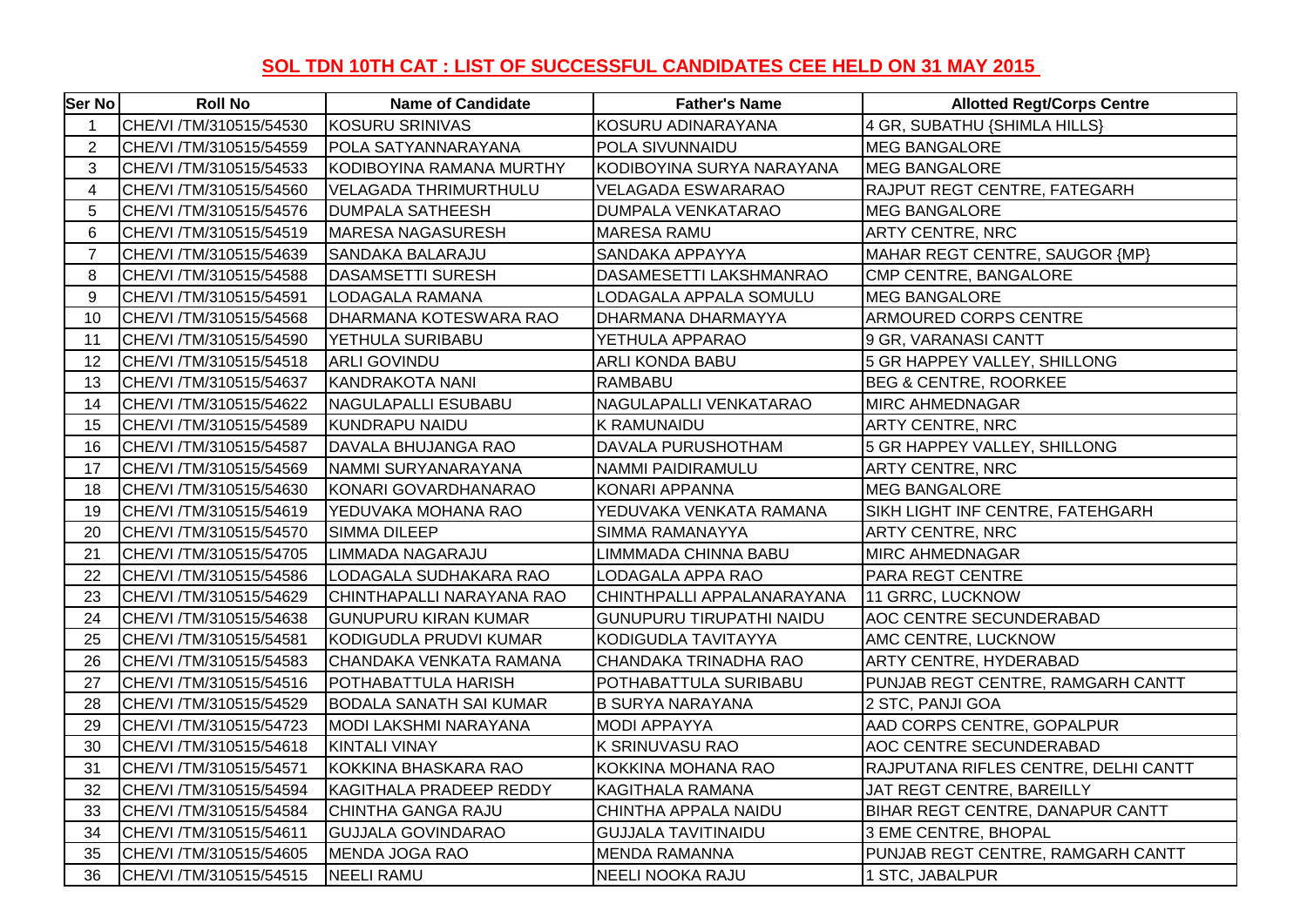## **SOL TDN 10TH CAT : LIST OF SUCCESSFUL CANDIDATES CEE HELD ON 31 MAY 2015**

| Ser No         | <b>Roll No</b>          | <b>Name of Candidate</b>       | <b>Father's Name</b>            | <b>Allotted Regt/Corps Centre</b>    |
|----------------|-------------------------|--------------------------------|---------------------------------|--------------------------------------|
| $\mathbf{1}$   | CHE/VI /TM/310515/54530 | KOSURU SRINIVAS                | KOSURU ADINARAYANA              | 4 GR, SUBATHU {SHIMLA HILLS}         |
| $\overline{2}$ | CHE/VI /TM/310515/54559 | POLA SATYANNARAYANA            | POLA SIVUNNAIDU                 | <b>MEG BANGALORE</b>                 |
| 3              | CHE/VI /TM/310515/54533 | KODIBOYINA RAMANA MURTHY       | KODIBOYINA SURYA NARAYANA       | <b>MEG BANGALORE</b>                 |
| $\overline{4}$ | CHE/VI /TM/310515/54560 | VELAGADA THRIMURTHULU          | <b>VELAGADA ESWARARAO</b>       | RAJPUT REGT CENTRE, FATEGARH         |
| 5              | CHE/VI /TM/310515/54576 | <b>DUMPALA SATHEESH</b>        | <b>DUMPALA VENKATARAO</b>       | <b>MEG BANGALORE</b>                 |
| 6              | CHE/VI /TM/310515/54519 | MARESA NAGASURESH              | <b>MARESA RAMU</b>              | ARTY CENTRE, NRC                     |
| $\overline{7}$ | CHE/VI /TM/310515/54639 | <b>SANDAKA BALARAJU</b>        | SANDAKA APPAYYA                 | MAHAR REGT CENTRE, SAUGOR {MP}       |
| 8              | CHE/VI /TM/310515/54588 | DASAMSETTI SURESH              | DASAMESETTI LAKSHMANRAO         | CMP CENTRE, BANGALORE                |
| 9              | CHE/VI /TM/310515/54591 | LODAGALA RAMANA                | LODAGALA APPALA SOMULU          | <b>MEG BANGALORE</b>                 |
| 10             | CHE/VI /TM/310515/54568 | DHARMANA KOTESWARA RAO         | DHARMANA DHARMAYYA              | ARMOURED CORPS CENTRE                |
| 11             | CHE/VI /TM/310515/54590 | <b>YETHULA SURIBABU</b>        | YETHULA APPARAO                 | 9 GR, VARANASI CANTT                 |
| 12             | CHE/VI /TM/310515/54518 | <b>ARLI GOVINDU</b>            | <b>ARLI KONDA BABU</b>          | 5 GR HAPPEY VALLEY, SHILLONG         |
| 13             | CHE/VI /TM/310515/54637 | KANDRAKOTA NANI                | <b>RAMBABU</b>                  | BEG & CENTRE, ROORKEE                |
| 14             | CHE/VI /TM/310515/54622 | NAGULAPALLI ESUBABU            | NAGULAPALLI VENKATARAO          | MIRC AHMEDNAGAR                      |
| 15             | CHE/VI /TM/310515/54589 | KUNDRAPU NAIDU                 | <b>K RAMUNAIDU</b>              | ARTY CENTRE, NRC                     |
| 16             | CHE/VI /TM/310515/54587 | DAVALA BHUJANGA RAO            | <b>DAVALA PURUSHOTHAM</b>       | 5 GR HAPPEY VALLEY, SHILLONG         |
| 17             | CHE/VI /TM/310515/54569 | NAMMI SURYANARAYANA            | NAMMI PAIDIRAMULU               | ARTY CENTRE, NRC                     |
| 18             | CHE/VI /TM/310515/54630 | KONARI GOVARDHANARAO           | KONARI APPANNA                  | <b>MEG BANGALORE</b>                 |
| 19             | CHE/VI /TM/310515/54619 | YEDUVAKA MOHANA RAO            | YEDUVAKA VENKATA RAMANA         | SIKH LIGHT INF CENTRE, FATEHGARH     |
| 20             | CHE/VI /TM/310515/54570 | <b>SIMMA DILEEP</b>            | SIMMA RAMANAYYA                 | ARTY CENTRE, NRC                     |
| 21             | CHE/VI /TM/310515/54705 | LIMMADA NAGARAJU               | LIMMMADA CHINNA BABU            | <b>MIRC AHMEDNAGAR</b>               |
| 22             | CHE/VI /TM/310515/54586 | LODAGALA SUDHAKARA RAO         | LODAGALA APPA RAO               | <b>PARA REGT CENTRE</b>              |
| 23             | CHE/VI /TM/310515/54629 | CHINTHAPALLI NARAYANA RAO      | CHINTHPALLI APPALANARAYANA      | 11 GRRC, LUCKNOW                     |
| 24             | CHE/VI /TM/310515/54638 | <b>GUNUPURU KIRAN KUMAR</b>    | <b>GUNUPURU TIRUPATHI NAIDU</b> | <b>AOC CENTRE SECUNDERABAD</b>       |
| 25             | CHE/VI /TM/310515/54581 | KODIGUDLA PRUDVI KUMAR         | KODIGUDLA TAVITAYYA             | AMC CENTRE, LUCKNOW                  |
| 26             | CHE/VI /TM/310515/54583 | CHANDAKA VENKATA RAMANA        | CHANDAKA TRINADHA RAO           | ARTY CENTRE, HYDERABAD               |
| 27             | CHE/VI /TM/310515/54516 | POTHABATTULA HARISH            | POTHABATTULA SURIBABU           | PUNJAB REGT CENTRE, RAMGARH CANTT    |
| 28             | CHE/VI /TM/310515/54529 | <b>BODALA SANATH SAI KUMAR</b> | <b>B SURYA NARAYANA</b>         | 2 STC, PANJI GOA                     |
| 29             | CHE/VI /TM/310515/54723 | MODI LAKSHMI NARAYANA          | <b>MODI APPAYYA</b>             | AAD CORPS CENTRE, GOPALPUR           |
| 30             | CHE/VI /TM/310515/54618 | <b>KINTALI VINAY</b>           | <b>K SRINUVASU RAO</b>          | AOC CENTRE SECUNDERABAD              |
| 31             | CHE/VI /TM/310515/54571 | KOKKINA BHASKARA RAO           | KOKKINA MOHANA RAO              | RAJPUTANA RIFLES CENTRE, DELHI CANTT |
| 32             | CHE/VI /TM/310515/54594 | KAGITHALA PRADEEP REDDY        | KAGITHALA RAMANA                | JAT REGT CENTRE, BAREILLY            |
| 33             | CHE/VI /TM/310515/54584 | CHINTHA GANGA RAJU             | CHINTHA APPALA NAIDU            | BIHAR REGT CENTRE, DANAPUR CANTT     |
| 34             | CHE/VI /TM/310515/54611 | <b>GUJJALA GOVINDARAO</b>      | <b>GUJJALA TAVITINAIDU</b>      | 3 EME CENTRE, BHOPAL                 |
| 35             | CHE/VI /TM/310515/54605 | MENDA JOGA RAO                 | <b>MENDA RAMANNA</b>            | PUNJAB REGT CENTRE, RAMGARH CANTT    |
| 36             | CHE/VI /TM/310515/54515 | <b>NEELI RAMU</b>              | NEELI NOOKA RAJU                | 1 STC, JABALPUR                      |